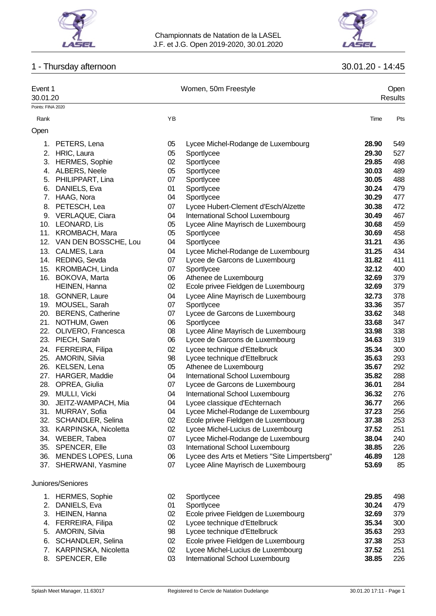

# 1 - Thursday afternoon 30.01.20 - 14:45



| Event 1                       |                          |    | Women, 50m Freestyle                          | Open<br>Results |     |  |
|-------------------------------|--------------------------|----|-----------------------------------------------|-----------------|-----|--|
| 30.01.20<br>Points: FINA 2020 |                          |    |                                               |                 |     |  |
|                               |                          |    |                                               |                 |     |  |
| Rank<br>Open                  |                          | YB |                                               | Time            | Pts |  |
| 1.                            | PETERS, Lena             | 05 | Lycee Michel-Rodange de Luxembourg            | 28.90           | 549 |  |
|                               | 2. HRIC, Laura           | 05 | Sportlycee                                    | 29.30           | 527 |  |
|                               | 3. HERMES, Sophie        | 02 | Sportlycee                                    | 29.85           | 498 |  |
|                               | 4. ALBERS, Neele         | 05 | Sportlycee                                    | 30.03           | 489 |  |
|                               | 5. PHILIPPART, Lina      | 07 | Sportlycee                                    | 30.05           | 488 |  |
|                               | 6. DANIELS, Eva          | 01 | Sportlycee                                    | 30.24           | 479 |  |
|                               | 7. HAAG, Nora            | 04 | Sportlycee                                    | 30.29           | 477 |  |
|                               |                          |    |                                               |                 |     |  |
|                               | 8. PETESCH, Lea          | 07 | Lycee Hubert-Clement d'Esch/Alzette           | 30.38           | 472 |  |
|                               | 9. VERLAQUE, Ciara       | 04 | International School Luxembourg               | 30.49           | 467 |  |
|                               | 10. LEONARD, Lis         | 05 | Lycee Aline Mayrisch de Luxembourg            | 30.68           | 459 |  |
|                               | 11. KROMBACH, Mara       | 05 | Sportlycee                                    | 30.69           | 458 |  |
|                               | 12. VAN DEN BOSSCHE, Lou | 04 | Sportlycee                                    | 31.21           | 436 |  |
|                               | 13. CALMES, Lara         | 04 | Lycee Michel-Rodange de Luxembourg            | 31.25           | 434 |  |
|                               | 14. REDING, Sevda        | 07 | Lycee de Garcons de Luxembourg                | 31.82           | 411 |  |
|                               | 15. KROMBACH, Linda      | 07 | Sportlycee                                    | 32.12           | 400 |  |
|                               | 16. BOKOVA, Marta        | 06 | Athenee de Luxembourg                         | 32.69           | 379 |  |
|                               | HEINEN, Hanna            | 02 | Ecole privee Fieldgen de Luxembourg           | 32.69           | 379 |  |
|                               | 18. GONNER, Laure        | 04 | Lycee Aline Mayrisch de Luxembourg            | 32.73           | 378 |  |
|                               | 19. MOUSEL, Sarah        | 07 | Sportlycee                                    | 33.36           | 357 |  |
|                               | 20. BERENS, Catherine    | 07 | Lycee de Garcons de Luxembourg                | 33.62           | 348 |  |
|                               | 21. NOTHUM, Gwen         | 06 | Sportlycee                                    | 33.68           | 347 |  |
|                               | 22. OLIVERO, Francesca   | 08 | Lycee Aline Mayrisch de Luxembourg            | 33.98           | 338 |  |
|                               | 23. PIECH, Sarah         | 06 | Lycee de Garcons de Luxembourg                | 34.63           | 319 |  |
|                               | 24. FERREIRA, Filipa     | 02 | Lycee technique d'Ettelbruck                  | 35.34           | 300 |  |
|                               | 25. AMORIN, Silvia       | 98 | Lycee technique d'Ettelbruck                  | 35.63           | 293 |  |
|                               | 26. KELSEN, Lena         | 05 | Athenee de Luxembourg                         | 35.67           | 292 |  |
|                               | 27. HARGER, Maddie       | 04 | International School Luxembourg               | 35.82           | 288 |  |
|                               | 28. OPREA, Giulia        | 07 | Lycee de Garcons de Luxembourg                | 36.01           | 284 |  |
|                               | 29. MULLI, Vicki         | 04 | International School Luxembourg               | 36.32           | 276 |  |
| 30.                           | JEITZ-WAMPACH, Mia       | 04 | Lycee classique d'Echternach                  | 36.77           | 266 |  |
|                               | 31. MURRAY, Sofia        | 04 | Lycee Michel-Rodange de Luxembourg            | 37.23           | 256 |  |
|                               | 32. SCHANDLER, Selina    | 02 | Ecole privee Fieldgen de Luxembourg           | 37.38           | 253 |  |
|                               | 33. KARPINSKA, Nicoletta | 02 | Lycee Michel-Lucius de Luxembourg             | 37.52           | 251 |  |
|                               | 34. WEBER, Tabea         | 07 | Lycee Michel-Rodange de Luxembourg            | 38.04           | 240 |  |
|                               | 35. SPENCER, Elle        | 03 | International School Luxembourg               | 38.85           | 226 |  |
|                               | 36. MENDES LOPES, Luna   | 06 | Lycee des Arts et Metiers "Site Limpertsberg" | 46.89           | 128 |  |
|                               | 37. SHERWANI, Yasmine    | 07 | Lycee Aline Mayrisch de Luxembourg            | 53.69           | 85  |  |
|                               | Juniores/Seniores        |    |                                               |                 |     |  |
|                               | 1. HERMES, Sophie        | 02 | Sportlycee                                    | 29.85           | 498 |  |
|                               | 2. DANIELS, Eva          | 01 | Sportlycee                                    | 30.24           | 479 |  |
|                               | 3. HEINEN, Hanna         | 02 | Ecole privee Fieldgen de Luxembourg           | 32.69           | 379 |  |
|                               | 4. FERREIRA, Filipa      | 02 | Lycee technique d'Ettelbruck                  | 35.34           | 300 |  |
|                               | 5. AMORIN, Silvia        | 98 | Lycee technique d'Ettelbruck                  | 35.63           | 293 |  |

- 
- 6. SCHANDLER, Selina 02 Ecole privee Fieldgen de Luxembourg **37.38** 253
- 
- 8. SPENCER, Elle 03 International School Luxembourg **38.85** 226

Lycee Michel-Lucius de Luxembourg **37.52** 251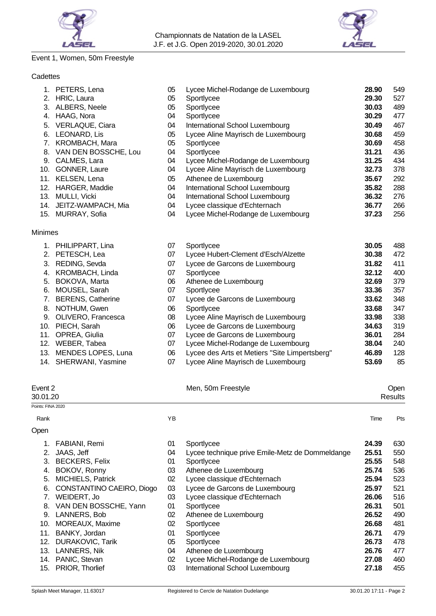



# Event 1, Women, 50m Freestyle

# **Cadettes**

|                | 1. PETERS, Lena          | 05 | Lycee Michel-Rodange de Luxembourg            | 28.90 | 549 |
|----------------|--------------------------|----|-----------------------------------------------|-------|-----|
| 2.             | HRIC, Laura              | 05 | Sportlycee                                    | 29.30 | 527 |
|                | 3. ALBERS, Neele         | 05 | Sportlycee                                    | 30.03 | 489 |
| 4.             | HAAG, Nora               | 04 | Sportlycee                                    | 30.29 | 477 |
| 5.             | <b>VERLAQUE, Ciara</b>   | 04 | International School Luxembourg               | 30.49 | 467 |
| 6.             | LEONARD, Lis             | 05 | Lycee Aline Mayrisch de Luxembourg            | 30.68 | 459 |
| 7.             | KROMBACH, Mara           | 05 | Sportlycee                                    | 30.69 | 458 |
|                | 8. VAN DEN BOSSCHE, Lou  | 04 | Sportlycee                                    | 31.21 | 436 |
|                | 9. CALMES, Lara          | 04 | Lycee Michel-Rodange de Luxembourg            | 31.25 | 434 |
| 10.            | <b>GONNER, Laure</b>     | 04 | Lycee Aline Mayrisch de Luxembourg            | 32.73 | 378 |
|                | 11. KELSEN, Lena         | 05 | Athenee de Luxembourg                         | 35.67 | 292 |
| 12.            | HARGER, Maddie           | 04 | International School Luxembourg               | 35.82 | 288 |
| 13.            | MULLI, Vicki             | 04 | International School Luxembourg               | 36.32 | 276 |
|                | 14. JEITZ-WAMPACH, Mia   | 04 | Lycee classique d'Echternach                  | 36.77 | 266 |
|                | 15. MURRAY, Sofia        | 04 | Lycee Michel-Rodange de Luxembourg            | 37.23 | 256 |
| <b>Minimes</b> |                          |    |                                               |       |     |
|                | 1. PHILIPPART, Lina      | 07 | Sportlycee                                    | 30.05 | 488 |
|                | 2. PETESCH, Lea          | 07 | Lycee Hubert-Clement d'Esch/Alzette           | 30.38 | 472 |
| 3.             | REDING, Sevda            | 07 | Lycee de Garcons de Luxembourg                | 31.82 | 411 |
| 4.             | KROMBACH, Linda          | 07 | Sportlycee                                    | 32.12 | 400 |
| 5.             | BOKOVA, Marta            | 06 | Athenee de Luxembourg                         | 32.69 | 379 |
| 6.             | MOUSEL, Sarah            | 07 | Sportlycee                                    | 33.36 | 357 |
| 7.             | <b>BERENS, Catherine</b> | 07 | Lycee de Garcons de Luxembourg                | 33.62 | 348 |
| 8.             | NOTHUM, Gwen             | 06 | Sportlycee                                    | 33.68 | 347 |
| 9.             | OLIVERO, Francesca       | 08 | Lycee Aline Mayrisch de Luxembourg            | 33.98 | 338 |
| 10.            | PIECH, Sarah             | 06 | Lycee de Garcons de Luxembourg                | 34.63 | 319 |
| 11.            | OPREA, Giulia            | 07 | Lycee de Garcons de Luxembourg                | 36.01 | 284 |
|                | 12. WEBER, Tabea         | 07 | Lycee Michel-Rodange de Luxembourg            | 38.04 | 240 |
| 13.            | MENDES LOPES, Luna       | 06 | Lycee des Arts et Metiers "Site Limpertsberg" | 46.89 | 128 |
|                | 14. SHERWANI, Yasmine    | 07 | Lycee Aline Mayrisch de Luxembourg            | 53.69 | 85  |

|                   | Event 2<br>30.01.20       |    | Men, 50m Freestyle                              |       | Open<br><b>Results</b> |
|-------------------|---------------------------|----|-------------------------------------------------|-------|------------------------|
| Points: FINA 2020 |                           |    |                                                 |       |                        |
| Rank              |                           | YB |                                                 | Time  | Pts                    |
| Open              |                           |    |                                                 |       |                        |
| 1.                | FABIANI, Remi             | 01 | Sportlycee                                      | 24.39 | 630                    |
|                   | JAAS, Jeff                | 04 | Lycee technique prive Emile-Metz de Dommeldange | 25.51 | 550                    |
| 3.                | <b>BECKERS, Felix</b>     | 01 | Sportlycee                                      | 25.55 | 548                    |
| 4.                | BOKOV, Ronny              | 03 | Athenee de Luxembourg                           | 25.74 | 536                    |
| 5.                | <b>MICHIELS, Patrick</b>  | 02 | Lycee classique d'Echternach                    | 25.94 | 523                    |
| 6.                | CONSTANTINO CAEIRO, Diogo | 03 | Lycee de Garcons de Luxembourg                  | 25.97 | 521                    |
| 7.                | WEIDERT, Jo               | 03 | Lycee classique d'Echternach                    | 26.06 | 516                    |
| 8.                | VAN DEN BOSSCHE, Yann     | 01 | Sportlycee                                      | 26.31 | 501                    |
| 9.                | LANNERS, Bob              | 02 | Athenee de Luxembourg                           | 26.52 | 490                    |
| 10.               | MOREAUX, Maxime           | 02 | Sportlycee                                      | 26.68 | 481                    |
| 11.               | BANKY, Jordan             | 01 | Sportlycee                                      | 26.71 | 479                    |
| 12.               | <b>DURAKOVIC, Tarik</b>   | 05 | Sportlycee                                      | 26.73 | 478                    |
| 13.               | <b>LANNERS, Nik</b>       | 04 | Athenee de Luxembourg                           | 26.76 | 477                    |
| 14.               | PANIC, Stevan             | 02 | Lycee Michel-Rodange de Luxembourg              | 27.08 | 460                    |
| 15.               | PRIOR, Thorlief           | 03 | International School Luxembourg                 | 27.18 | 455                    |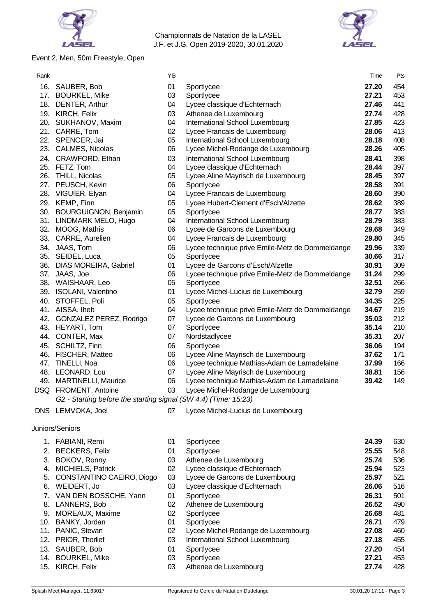

# LASEL

# Event 2, Men, 50m Freestyle, Open

| Rank |                                                                 | ΥB       |                                                                   | Time           | Pts        |
|------|-----------------------------------------------------------------|----------|-------------------------------------------------------------------|----------------|------------|
|      | 16. SAUBER, Bob                                                 | 01       | Sportlycee                                                        | 27.20          | 454        |
|      | 17. BOURKEL, Mike                                               | 03       | Sportlycee                                                        | 27.21          | 453        |
|      | 18. DENTER, Arthur                                              | 04       | Lycee classique d'Echternach                                      | 27.46          | 441        |
|      | 19. KIRCH, Felix                                                | 03       | Athenee de Luxembourg                                             | 27.74          | 428        |
|      | 20. SUKHANOV, Maxim                                             | 04       | International School Luxembourg                                   | 27.85          | 423        |
|      | 21. CARRE, Tom                                                  | 02       | Lycee Francais de Luxembourg                                      | 28.06          | 413        |
|      | 22. SPENCER, Jai                                                | 05       | International School Luxembourg                                   | 28.18          | 408        |
|      | 23. CALMES, Nicolas                                             | 06       | Lycee Michel-Rodange de Luxembourg                                | 28.26          | 405        |
|      | 24. CRAWFORD, Ethan                                             | 03       | International School Luxembourg                                   | 28.41          | 398        |
|      | 25. FETZ, Tom                                                   | 04       | Lycee classique d'Echternach                                      | 28.44          | 397        |
|      | 26. THILL, Nicolas                                              | 05       | Lycee Aline Mayrisch de Luxembourg                                | 28.45          | 397        |
|      | 27. PEUSCH, Kevin                                               | 06       | Sportlycee                                                        | 28.58          | 391        |
|      | 28. VIGUIER, Elyan                                              | 04       | Lycee Francais de Luxembourg                                      | 28.60          | 390        |
|      | 29. KEMP, Finn                                                  | 05       | Lycee Hubert-Clement d'Esch/Alzette                               | 28.62          | 389        |
| 30.  | <b>BOURGUIGNON, Benjamin</b>                                    | 05       | Sportlycee                                                        | 28.77          | 383        |
|      | 31. LINDMARK MELO, Hugo<br>32. MOOG, Mathis                     | 04<br>06 | International School Luxembourg<br>Lycee de Garcons de Luxembourg | 28.79<br>29.68 | 383<br>349 |
|      | 33. CARRE, Aurelien                                             | 04       | Lycee Francais de Luxembourg                                      | 29.80          | 345        |
|      | 34. JAAS, Tom                                                   | 06       | Lycee technique prive Emile-Metz de Dommeldange                   | 29.96          | 339        |
|      | 35. SEIDEL, Luca                                                | 05       | Sportlycee                                                        | 30.66          | 317        |
|      | 36. DIAS MOREIRA, Gabriel                                       | 01       | Lycee de Garcons d'Esch/Alzette                                   | 30.91          | 309        |
|      | 37. JAAS, Joe                                                   | 06       | Lycee technique prive Emile-Metz de Dommeldange                   | 31.24          | 299        |
|      | 38. WAISHAAR, Leo                                               | 05       | Sportlycee                                                        | 32.51          | 266        |
|      | 39. ISOLANI, Valentino                                          | 01       | Lycee Michel-Lucius de Luxembourg                                 | 32.79          | 259        |
|      | 40. STOFFEL, Poli                                               | 05       | Sportlycee                                                        | 34.35          | 225        |
|      | 41. AISSA, Iheb                                                 | 04       | Lycee technique prive Emile-Metz de Dommeldange                   | 34.67          | 219        |
|      | 42. GONZALEZ PEREZ, Rodrigo                                     | 07       | Lycee de Garcons de Luxembourg                                    | 35.03          | 212        |
|      | 43. HEYART, Tom                                                 | 07       | Sportlycee                                                        | 35.14          | 210        |
|      | 44. CONTER, Max                                                 | 07       | Nordstadlycee                                                     | 35.31          | 207        |
|      | 45. SCHILTZ, Finn                                               | 06       | Sportlycee                                                        | 36.06          | 194        |
|      | 46. FISCHER, Matteo                                             | 06       | Lycee Aline Mayrisch de Luxembourg                                | 37.62          | 171        |
|      | 47. TINELLI, Noa                                                | 06       | Lycee technique Mathias-Adam de Lamadelaine                       | 37.99          | 166        |
|      | 48. LEONARD, Lou                                                | 07       | Lycee Aline Mayrisch de Luxembourg                                | 38.81          | 156        |
|      | 49. MARTINELLI, Maurice                                         | 06       | Lycee technique Mathias-Adam de Lamadelaine                       | 39.42          | 149        |
|      | DSQ FROMENT, Antoine                                            | 03       | Lycee Michel-Rodange de Luxembourg                                |                |            |
|      | G2 - Starting before the starting signal (SW 4.4) (Time: 15:23) |          |                                                                   |                |            |
|      | DNS LEMVOKA, Joel                                               | 07       | Lycee Michel-Lucius de Luxembourg                                 |                |            |
|      | Juniors/Seniors                                                 |          |                                                                   |                |            |
|      | 1. FABIANI, Remi                                                | 01       | Sportlycee                                                        | 24.39          | 630        |
|      | 2. BECKERS, Felix                                               | 01       | Sportlycee                                                        | 25.55          | 548        |
|      | 3. BOKOV, Ronny                                                 | 03       | Athenee de Luxembourg                                             | 25.74          | 536        |
|      | 4. MICHIELS, Patrick                                            | 02       | Lycee classique d'Echternach                                      | 25.94          | 523        |
|      | 5. CONSTANTINO CAEIRO, Diogo                                    | 03       | Lycee de Garcons de Luxembourg                                    | 25.97          | 521        |
|      | 6. WEIDERT, Jo                                                  | 03       | Lycee classique d'Echternach                                      | 26.06          | 516        |
|      | 7. VAN DEN BOSSCHE, Yann                                        | 01       | Sportlycee                                                        | 26.31          | 501        |
|      | 8. LANNERS, Bob                                                 | 02       | Athenee de Luxembourg                                             | 26.52          | 490        |
|      | 9. MOREAUX, Maxime                                              | 02       | Sportlycee                                                        | 26.68          | 481        |
|      | 10. BANKY, Jordan                                               | 01       | Sportlycee                                                        | 26.71          | 479        |
|      | 11. PANIC, Stevan                                               | 02       | Lycee Michel-Rodange de Luxembourg                                | 27.08          | 460        |
|      | 12. PRIOR, Thorlief                                             | 03       | International School Luxembourg                                   | 27.18          | 455        |
|      | 13. SAUBER, Bob                                                 | 01       | Sportlycee                                                        | 27.20          | 454        |
|      | 14. BOURKEL, Mike                                               | 03       | Sportlycee                                                        | 27.21          | 453        |
| 15.  | KIRCH, Felix                                                    | 03       | Athenee de Luxembourg                                             | 27.74          | 428        |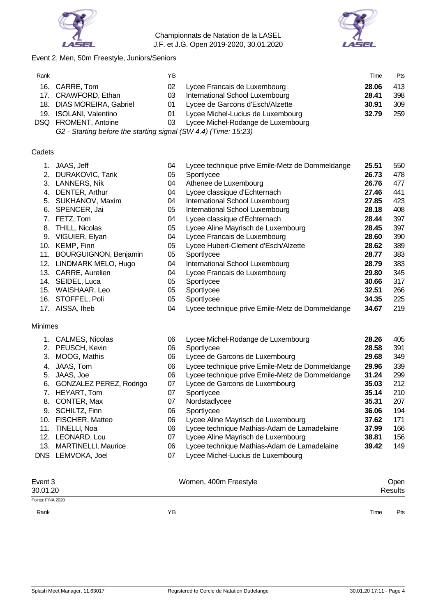



# Event 2, Men, 50m Freestyle, Juniors/Seniors

| Rank |                           | ΥB  |                                    | Time  | Pts |
|------|---------------------------|-----|------------------------------------|-------|-----|
|      | 16. CARRE, Tom            | 02. | Lycee Francais de Luxembourg       | 28.06 | 413 |
|      | 17. CRAWFORD, Ethan       | 03  | International School Luxembourg    | 28.41 | 398 |
|      | 18. DIAS MOREIRA, Gabriel | 01. | Lycee de Garcons d'Esch/Alzette    | 30.91 | 309 |
|      | 19. ISOLANI, Valentino    | 01. | Lycee Michel-Lucius de Luxembourg  | 32.79 | 259 |
|      | DSQ FROMENT, Antoine      | 03. | Lycee Michel-Rodange de Luxembourg |       |     |
|      | .                         |     |                                    |       |     |

*G2 - Starting before the starting signal (SW 4.4) (Time: 15:23)*

### **Cadets**

|                | JAAS, Jeff                   | 04 | Lycee technique prive Emile-Metz de Dommeldange | 25.51 | 550 |
|----------------|------------------------------|----|-------------------------------------------------|-------|-----|
| 2.             | <b>DURAKOVIC, Tarik</b>      | 05 | Sportlycee                                      | 26.73 | 478 |
|                | 3. LANNERS, Nik              | 04 | Athenee de Luxembourg                           | 26.76 | 477 |
|                | 4. DENTER, Arthur            | 04 | Lycee classique d'Echternach                    | 27.46 | 441 |
|                | 5. SUKHANOV, Maxim           | 04 | International School Luxembourg                 | 27.85 | 423 |
|                | 6. SPENCER, Jai              | 05 | International School Luxembourg                 | 28.18 | 408 |
|                | 7. FETZ, Tom                 | 04 | Lycee classique d'Echternach                    | 28.44 | 397 |
| 8.             | <b>THILL, Nicolas</b>        | 05 | Lycee Aline Mayrisch de Luxembourg              | 28.45 | 397 |
|                | 9. VIGUIER, Elyan            | 04 | Lycee Francais de Luxembourg                    | 28.60 | 390 |
|                | 10. KEMP, Finn               | 05 | Lycee Hubert-Clement d'Esch/Alzette             | 28.62 | 389 |
| 11.            | <b>BOURGUIGNON, Benjamin</b> | 05 | Sportlycee                                      | 28.77 | 383 |
|                | 12. LINDMARK MELO, Hugo      | 04 | International School Luxembourg                 | 28.79 | 383 |
|                | 13. CARRE, Aurelien          | 04 | Lycee Francais de Luxembourg                    | 29.80 | 345 |
|                | 14. SEIDEL, Luca             | 05 | Sportlycee                                      | 30.66 | 317 |
|                | 15. WAISHAAR, Leo            | 05 | Sportlycee                                      | 32.51 | 266 |
|                | 16. STOFFEL, Poli            | 05 | Sportlycee                                      | 34.35 | 225 |
|                | 17. AISSA, Iheb              | 04 | Lycee technique prive Emile-Metz de Dommeldange | 34.67 | 219 |
|                |                              |    |                                                 |       |     |
|                |                              |    |                                                 |       |     |
| <b>Minimes</b> |                              |    |                                                 |       |     |
|                | 1. CALMES, Nicolas           | 06 | Lycee Michel-Rodange de Luxembourg              | 28.26 | 405 |
|                | 2. PEUSCH, Kevin             | 06 | Sportlycee                                      | 28.58 | 391 |
|                | 3. MOOG, Mathis              | 06 | Lycee de Garcons de Luxembourg                  | 29.68 | 349 |
| 4.             | JAAS, Tom                    | 06 | Lycee technique prive Emile-Metz de Dommeldange | 29.96 | 339 |
| 5.             | JAAS, Joe                    | 06 | Lycee technique prive Emile-Metz de Dommeldange | 31.24 | 299 |
| 6.             | GONZALEZ PEREZ, Rodrigo      | 07 | Lycee de Garcons de Luxembourg                  | 35.03 | 212 |
| 7.             | HEYART, Tom                  | 07 | Sportlycee                                      | 35.14 | 210 |
| 8.             | CONTER, Max                  | 07 | Nordstadlycee                                   | 35.31 | 207 |
|                | 9. SCHILTZ, Finn             | 06 | Sportlycee                                      | 36.06 | 194 |
|                | 10. FISCHER, Matteo          | 06 | Lycee Aline Mayrisch de Luxembourg              | 37.62 | 171 |
|                | 11. TINELLI, Noa             | 06 | Lycee technique Mathias-Adam de Lamadelaine     | 37.99 | 166 |
|                | 12. LEONARD, Lou             | 07 | Lycee Aline Mayrisch de Luxembourg              | 38.81 | 156 |
|                | 13. MARTINELLI, Maurice      | 06 | Lycee technique Mathias-Adam de Lamadelaine     | 39.42 | 149 |
|                | DNS LEMVOKA, Joel            | 07 | Lycee Michel-Lucius de Luxembourg               |       |     |

| Event 3<br>30.01.20 | Women, 400m Freestyle | Open<br><b>Results</b> |  |  |
|---------------------|-----------------------|------------------------|--|--|
| Points: FINA 2020   |                       |                        |  |  |
| Rank                | ΥB                    | Time<br>Pts            |  |  |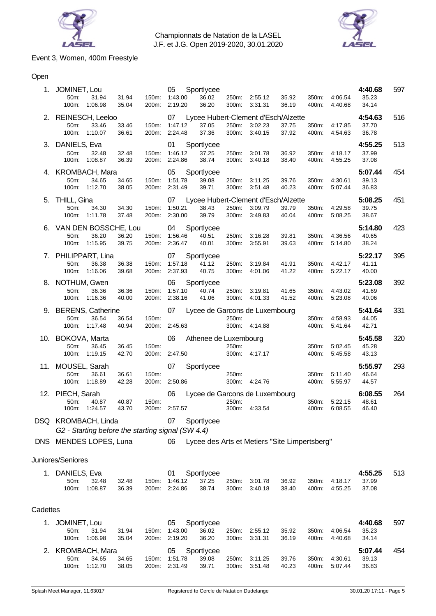



# Event 3, Women, 400m Freestyle

# Open

|          | 1. JOMINET, Lou<br>50m:<br>31.94<br>100m: 1:06.98                        | 31.94<br>35.04<br>200m:          | 05<br>150m: 1:43.00<br>2:19.20       | Sportlycee<br>36.02<br>36.20                          | 300m:          | 250m: 2:55.12<br>3:31.31 | 35.92<br>36.19 | 350m:<br>400m: | 4:06.54<br>4:40.68 | 4:40.68<br>35.23<br>34.14 | 597 |
|----------|--------------------------------------------------------------------------|----------------------------------|--------------------------------------|-------------------------------------------------------|----------------|--------------------------|----------------|----------------|--------------------|---------------------------|-----|
|          | 2. REINESCH, Leeloo<br>50m:<br>33.46<br>100m: 1:10.07                    | 33.46<br>150m:<br>36.61<br>200m: | 07<br>1:47.12<br>2:24.48             | Lycee Hubert-Clement d'Esch/Alzette<br>37.05<br>37.36 | 250m:<br>300m: | 3:02.23<br>3:40.15       | 37.75<br>37.92 | 350m:<br>400m: | 4:17.85<br>4:54.63 | 4:54.63<br>37.70<br>36.78 | 516 |
|          | 3. DANIELS, Eva<br>50m:<br>32.48<br>100m:<br>1:08.87                     | 32.48<br>36.39<br>200m:          | 01<br>150m: 1:46.12<br>2:24.86       | Sportlycee<br>37.25<br>38.74                          | 250m:<br>300m: | 3:01.78<br>3:40.18       | 36.92<br>38.40 | 350m:<br>400m: | 4:18.17<br>4:55.25 | 4:55.25<br>37.99<br>37.08 | 513 |
|          | 4. KROMBACH, Mara<br>50m:<br>34.65<br>100m: 1:12.70                      | 34.65<br>38.05                   | 05<br>150m: 1:51.78<br>200m: 2:31.49 | Sportlycee<br>39.08<br>39.71                          | 250m:<br>300m: | 3:11.25<br>3:51.48       | 39.76<br>40.23 | 350m:<br>400m: | 4:30.61<br>5:07.44 | 5:07.44<br>39.13<br>36.83 | 454 |
|          | 5. THILL, Gina<br>50m:<br>34.30<br>100m: 1:11.78                         | 34.30<br>37.48                   | 07<br>150m: 1:50.21<br>200m: 2:30.00 | Lycee Hubert-Clement d'Esch/Alzette<br>38.43<br>39.79 | 250m:<br>300m: | 3:09.79<br>3:49.83       | 39.79<br>40.04 | 350m:<br>400m: | 4:29.58<br>5:08.25 | 5:08.25<br>39.75<br>38.67 | 451 |
|          | 6. VAN DEN BOSSCHE, Lou<br>36.20<br>50m:<br>100m: 1:15.95                | 36.20<br>39.75                   | 04<br>150m: 1:56.46<br>200m: 2:36.47 | Sportlycee<br>40.51<br>40.01                          | 250m:<br>300m: | 3:16.28<br>3:55.91       | 39.81<br>39.63 | 350m:<br>400m: | 4:36.56<br>5:14.80 | 5:14.80<br>40.65<br>38.24 | 423 |
|          | 7. PHILIPPART, Lina<br>50m:<br>36.38<br>100m:<br>1:16.06                 | 36.38<br>200m:<br>39.68          | 07<br>150m: 1:57.18<br>2:37.93       | Sportlycee<br>41.12<br>40.75                          | 250m:<br>300m: | 3:19.84<br>4:01.06       | 41.91<br>41.22 | 350m:<br>400m: | 4:42.17<br>5:22.17 | 5:22.17<br>41.11<br>40.00 | 395 |
|          | 8. NOTHUM, Gwen<br>50m:<br>36.36<br>100m: 1:16.36                        | 36.36<br>40.00<br>200m:          | 06<br>150m: 1:57.10<br>2:38.16       | Sportlycee<br>40.74<br>41.06                          | 250m:<br>300m: | 3:19.81<br>4:01.33       | 41.65<br>41.52 | 350m:<br>400m: | 4:43.02<br>5:23.08 | 5:23.08<br>41.69<br>40.06 | 392 |
|          | 9. BERENS, Catherine<br>50m:<br>36.54<br>100m: 1:17.48                   | 36.54<br>150m:<br>40.94<br>200m: | 07<br>2:45.63                        | Lycee de Garcons de Luxembourg                        | 250m:          | 300m: 4:14.88            |                | 350m:<br>400m: | 4:58.93<br>5:41.64 | 5:41.64<br>44.05<br>42.71 | 331 |
|          | 10. BOKOVA, Marta<br>50m:<br>36.45<br>100m:<br>1:19.15                   | 36.45<br>150m:<br>42.70<br>200m: | 06<br>2:47.50                        | Athenee de Luxembourg                                 | 250m:          | 300m: 4:17.17            |                | 350m:<br>400m: | 5:02.45<br>5:45.58 | 5:45.58<br>45.28<br>43.13 | 320 |
|          | 11. MOUSEL, Sarah<br>50m:<br>36.61<br>100m: 1:18.89                      | 36.61<br>150m:<br>42.28          | 07<br>200m: 2:50.86                  | Sportlycee                                            | 250m:          | 300m: 4:24.76            |                | 350m:<br>400m: | 5:11.40<br>5:55.97 | 5:55.97<br>46.64<br>44.57 | 293 |
|          | 12. PIECH, Sarah<br>50m:<br>40.87<br>100m: 1:24.57                       | 40.87<br>150m:<br>43.70          | 06<br>200m: 2:57.57                  | Lycee de Garcons de Luxembourg                        | 250m:          | 300m: 4:33.54            |                | 350m:<br>400m: | 5:22.15<br>6:08.55 | 6:08.55<br>48.61<br>46.40 | 264 |
|          | DSQ KROMBACH, Linda<br>G2 - Starting before the starting signal (SW 4.4) |                                  | 07                                   | Sportlycee                                            |                |                          |                |                |                    |                           |     |
|          | DNS MENDES LOPES, Luna                                                   |                                  | 06                                   | Lycee des Arts et Metiers "Site Limpertsberg"         |                |                          |                |                |                    |                           |     |
|          | Juniores/Seniores                                                        |                                  |                                      |                                                       |                |                          |                |                |                    |                           |     |
|          | 1. DANIELS, Eva<br>50m:<br>32.48<br>1:08.87<br>100m:                     | 32.48<br>150m:<br>36.39<br>200m: | 01<br>1:46.12<br>2:24.86             | Sportlycee<br>37.25<br>38.74                          | 250m:<br>300m: | 3:01.78<br>3:40.18       | 36.92<br>38.40 | 350m:<br>400m: | 4:18.17<br>4:55.25 | 4:55.25<br>37.99<br>37.08 | 513 |
| Cadettes |                                                                          |                                  |                                      |                                                       |                |                          |                |                |                    |                           |     |
| 1.       | JOMINET, Lou<br>50m:<br>31.94<br>100m:<br>1:06.98                        | 31.94<br>150m:<br>35.04<br>200m: | 05<br>1:43.00<br>2:19.20             | Sportlycee<br>36.02<br>36.20                          | 250m:<br>300m: | 2:55.12<br>3:31.31       | 35.92<br>36.19 | 350m:<br>400m: | 4:06.54<br>4:40.68 | 4:40.68<br>35.23<br>34.14 | 597 |
| 2.       | <b>KROMBACH, Mara</b><br>50m:<br>34.65<br>1:12.70<br>100m:               | 34.65<br>150m:<br>38.05<br>200m: | 05<br>1:51.78<br>2:31.49             | Sportlycee<br>39.08<br>39.71                          | 250m:<br>300m: | 3:11.25<br>3:51.48       | 39.76<br>40.23 | 350m:<br>400m: | 4:30.61<br>5:07.44 | 5:07.44<br>39.13<br>36.83 | 454 |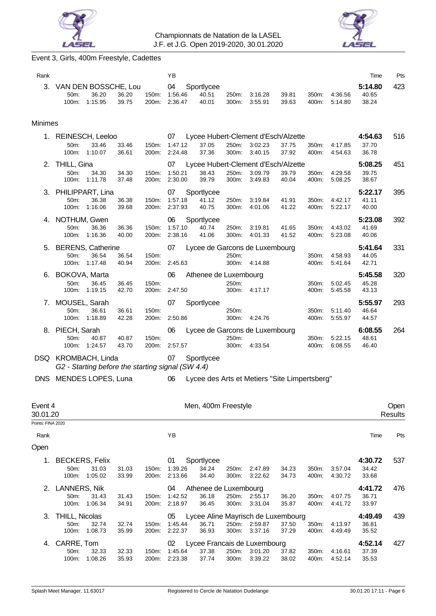



# Event 3, Girls, 400m Freestyle, Cadettes

| Rank                      |                                                                          |                |                | ΥB                       |                                         |                |                                                           |                |                |                    | Time                      | Pts     |
|---------------------------|--------------------------------------------------------------------------|----------------|----------------|--------------------------|-----------------------------------------|----------------|-----------------------------------------------------------|----------------|----------------|--------------------|---------------------------|---------|
| 3.                        | VAN DEN BOSSCHE, Lou<br>50m:<br>36.20<br>100m:<br>1:15.95                | 36.20<br>39.75 | 150m:<br>200m: | 04<br>1:56.46<br>2:36.47 | Sportlycee<br>40.51<br>40.01            | 250m:<br>300m: | 3:16.28<br>3:55.91                                        | 39.81<br>39.63 | 350m:<br>400m: | 4:36.56<br>5:14.80 | 5:14.80<br>40.65<br>38.24 | 423     |
| <b>Minimes</b>            |                                                                          |                |                |                          |                                         |                |                                                           |                |                |                    |                           |         |
|                           | 1. REINESCH, Leeloo<br>33.46<br>50m:<br>100m:<br>1:10.07                 | 33.46<br>36.61 | 150m:<br>200m: | 07<br>1:47.12<br>2:24.48 | 37.05<br>37.36                          | 250m:<br>300m: | Lycee Hubert-Clement d'Esch/Alzette<br>3:02.23<br>3:40.15 | 37.75<br>37.92 | 350m:<br>400m: | 4:17.85<br>4:54.63 | 4:54.63<br>37.70<br>36.78 | 516     |
|                           | 2. THILL, Gina<br>50m:<br>34.30<br>100m:<br>1:11.78                      | 34.30<br>37.48 | 150m:<br>200m: | 07<br>1:50.21<br>2:30.00 | 38.43<br>39.79                          | 250m:<br>300m: | Lycee Hubert-Clement d'Esch/Alzette<br>3:09.79<br>3:49.83 | 39.79<br>40.04 | 350m:<br>400m: | 4:29.58<br>5:08.25 | 5:08.25<br>39.75<br>38.67 | 451     |
|                           | 3. PHILIPPART, Lina<br>50m:<br>36.38<br>100m:<br>1:16.06                 | 36.38<br>39.68 | 150m:<br>200m: | 07<br>1:57.18<br>2:37.93 | Sportlycee<br>41.12<br>40.75            | 250m:<br>300m: | 3:19.84<br>4:01.06                                        | 41.91<br>41.22 | 350m:<br>400m: | 4:42.17<br>5:22.17 | 5:22.17<br>41.11<br>40.00 | 395     |
|                           | 4. NOTHUM, Gwen<br>36.36<br>50m:<br>100m: 1:16.36                        | 36.36<br>40.00 | 150m:<br>200m: | 06<br>1:57.10<br>2:38.16 | Sportlycee<br>40.74<br>41.06            | 250m:<br>300m: | 3:19.81<br>4:01.33                                        | 41.65<br>41.52 | 350m:<br>400m: | 4:43.02<br>5:23.08 | 5:23.08<br>41.69<br>40.06 | 392     |
|                           | 5. BERENS, Catherine<br>36.54<br>50m:<br>100m: 1:17.48                   | 36.54<br>40.94 | 150m:<br>200m: | 07<br>2:45.63            |                                         | 250m:          | Lycee de Garcons de Luxembourg<br>300m: 4:14.88           |                | 350m:<br>400m: | 4:58.93<br>5:41.64 | 5:41.64<br>44.05<br>42.71 | 331     |
|                           | 6. BOKOVA, Marta<br>50m:<br>36.45<br>1:19.15<br>100m:                    | 36.45<br>42.70 | 150m:<br>200m: | 06<br>2:47.50            | Athenee de Luxembourg                   | 250m:<br>300m: | 4:17.17                                                   |                | 350m:<br>400m: | 5:02.45<br>5:45.58 | 5:45.58<br>45.28<br>43.13 | 320     |
| 7.                        | MOUSEL, Sarah<br>50m:<br>36.61<br>100m:<br>1:18.89                       | 36.61<br>42.28 | 150m:<br>200m: | 07<br>2.50.86            | Sportlycee                              | 250m:<br>300m: | 4:24.76                                                   |                | 350m:<br>400m: | 5:11.40<br>5:55.97 | 5:55.97<br>46.64<br>44.57 | 293     |
|                           | 8. PIECH, Sarah<br>50m:<br>40.87<br>100m: 1:24.57                        | 40.87<br>43.70 | 150m:<br>200m: | 06<br>2:57.57            |                                         | 250m:<br>300m: | Lycee de Garcons de Luxembourg<br>4:33.54                 |                | 350m:<br>400m: | 5:22.15<br>6:08.55 | 6:08.55<br>48.61<br>46.40 | 264     |
|                           | DSQ KROMBACH, Linda<br>G2 - Starting before the starting signal (SW 4.4) |                |                | 07                       | Sportlycee                              |                |                                                           |                |                |                    |                           |         |
| DNS.                      | MENDES LOPES, Luna                                                       |                |                | 06                       |                                         |                | Lycee des Arts et Metiers "Site Limpertsberg"             |                |                |                    |                           |         |
| Event 4                   |                                                                          |                |                |                          | Men, 400m Freestyle                     |                |                                                           |                |                |                    |                           | Open    |
| 30.01.20                  |                                                                          |                |                |                          |                                         |                |                                                           |                |                |                    |                           | Results |
| Points: FINA 2020<br>Rank |                                                                          |                |                | ΥB                       |                                         |                |                                                           |                |                |                    | Time                      | Pts     |
| Open                      |                                                                          |                |                |                          |                                         |                |                                                           |                |                |                    |                           |         |
| 1.                        | <b>BECKERS, Felix</b><br>50m:<br>31.03<br>100m:<br>1:05.02               | 31.03<br>33.99 | 150m:<br>200m: | 01<br>1:39.26<br>2:13.66 | Sportlycee<br>34.24<br>34.40            | 250m:<br>300m: | 2:47.89<br>3:22.62                                        | 34.23<br>34.73 | 350m:<br>400m: | 3:57.04<br>4:30.72 | 4:30.72<br>34.42<br>33.68 | 537     |
|                           | 2. LANNERS, Nik<br>31.43<br>50m:<br>100m:<br>1:06.34                     | 31.43<br>34.91 | 150m:<br>200m: | 04<br>1:42.52<br>2:18.97 | Athenee de Luxembourg<br>36.18<br>36.45 | 250m:<br>300m: | 2:55.17<br>3:31.04                                        | 36.20<br>35.87 | 350m:<br>400m: | 4:07.75<br>4:41.72 | 4:41.72<br>36.71<br>33.97 | 476     |
| З.                        | THILL, Nicolas<br>50m:<br>32.74<br>1:08.73<br>100m:                      | 32.74<br>35.99 | 150m:<br>200m: | 05<br>1:45.44<br>2:22.37 | 36.71<br>36.93                          | 250m:<br>300m: | Lycee Aline Mayrisch de Luxembourg<br>2:59.87<br>3:37.16  | 37.50<br>37.29 | 350m:<br>400m: | 4:13.97<br>4:49.49 | 4:49.49<br>36.81<br>35.52 | 439     |
|                           |                                                                          |                |                |                          |                                         |                |                                                           |                |                |                    |                           |         |

4. CARRE, Tom 02 Lycee Francais de Luxembourg **4:52.14** 427 50m: 32.33 32.33 150m: 1:45.64 37.38 250m: 3:01.20 37.82 350m: 4:16.61 37.39 100m: 1:08.26 35.93 200m: 2:23.38 37.74 300m: 3:39.22 38.02 400m: 4:52.14 35.53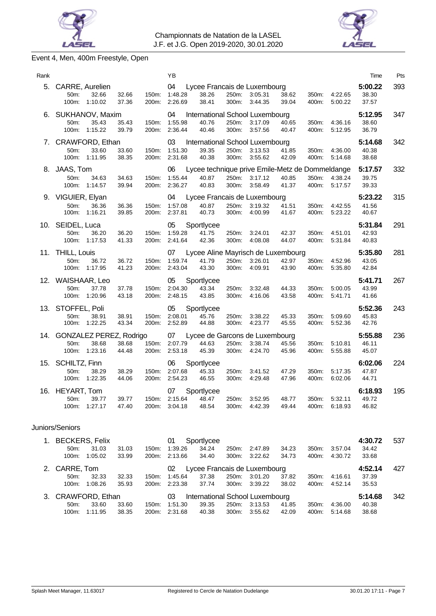



# Event 4, Men, 400m Freestyle, Open

| Rank |                                                                         |                                  | ΥB                       |                              |                |                                                                       |                |                |                    | Time                      | Pts |
|------|-------------------------------------------------------------------------|----------------------------------|--------------------------|------------------------------|----------------|-----------------------------------------------------------------------|----------------|----------------|--------------------|---------------------------|-----|
| 5.   | CARRE, Aurelien<br>32.66<br>50m:<br>100m:<br>1:10.02                    | 32.66<br>150m:<br>37.36<br>200m: | 04<br>1:48.28<br>2:26.69 | 38.26<br>38.41               | 250m:<br>300m: | Lycee Francais de Luxembourg<br>3:05.31<br>3:44.35                    | 38.62<br>39.04 | 350m:<br>400m: | 4:22.65<br>5:00.22 | 5:00.22<br>38.30<br>37.57 | 393 |
| 6.   | SUKHANOV, Maxim<br>35.43<br>50m:<br>1:15.22<br>100m:                    | 35.43<br>150m:<br>39.79<br>200m: | 04<br>1:55.98<br>2:36.44 | 40.76<br>40.46               | 250m:<br>300m: | International School Luxembourg<br>3:17.09<br>3:57.56                 | 40.65<br>40.47 | 350m:<br>400m: | 4:36.16<br>5:12.95 | 5:12.95<br>38.60<br>36.79 | 347 |
| 7.   | CRAWFORD, Ethan<br>50m:<br>33.60<br>100m:<br>1:11.95                    | 33.60<br>150m:<br>38.35<br>200m: | 03<br>1:51.30<br>2:31.68 | 39.35<br>40.38               | 250m:<br>300m: | International School Luxembourg<br>3:13.53<br>3:55.62                 | 41.85<br>42.09 | 350m:<br>400m: | 4:36.00<br>5:14.68 | 5:14.68<br>40.38<br>38.68 | 342 |
| 8.   | JAAS, Tom<br>50m:<br>34.63<br>100m:<br>1:14.57                          | 34.63<br>150m:<br>39.94<br>200m: | 06<br>1:55.44<br>2:36.27 | 40.87<br>40.83               | 250m:<br>300m: | Lycee technique prive Emile-Metz de Dommeldange<br>3:17.12<br>3:58.49 | 40.85<br>41.37 | 350m:<br>400m: | 4:38.24<br>5:17.57 | 5:17.57<br>39.75<br>39.33 | 332 |
| 9.   | VIGUIER, Elyan<br>50m:<br>36.36<br>100m:<br>1:16.21                     | 36.36<br>150m:<br>39.85<br>200m: | 04<br>1:57.08<br>2:37.81 | 40.87<br>40.73               | 250m:<br>300m: | Lycee Francais de Luxembourg<br>3:19.32<br>4:00.99                    | 41.51<br>41.67 | 350m:<br>400m: | 4:42.55<br>5:23.22 | 5:23.22<br>41.56<br>40.67 | 315 |
|      | 10. SEIDEL, Luca<br>36.20<br>50m:<br>100m:<br>1:17.53                   | 36.20<br>150m:<br>41.33<br>200m: | 05<br>1:59.28<br>2:41.64 | Sportlycee<br>41.75<br>42.36 | 250m:<br>300m: | 3:24.01<br>4:08.08                                                    | 42.37<br>44.07 | 350m:<br>400m: | 4:51.01<br>5:31.84 | 5:31.84<br>42.93<br>40.83 | 291 |
| 11.  | <b>THILL, Louis</b><br>50m:<br>36.72<br>100m:<br>1:17.95                | 36.72<br>150m:<br>41.23<br>200m: | 07<br>1:59.74<br>2:43.04 | 41.79<br>43.30               | 250m:<br>300m: | Lycee Aline Mayrisch de Luxembourg<br>3:26.01<br>4:09.91              | 42.97<br>43.90 | 350m:<br>400m: | 4:52.96<br>5:35.80 | 5:35.80<br>43.05<br>42.84 | 281 |
|      | 12. WAISHAAR, Leo<br>37.78<br>50m:<br>100m:<br>1:20.96                  | 150m:<br>37.78<br>200m:<br>43.18 | 05<br>2:04.30<br>2:48.15 | Sportlycee<br>43.34<br>43.85 | 250m:<br>300m: | 3:32.48<br>4:16.06                                                    | 44.33<br>43.58 | 350m:<br>400m: | 5:00.05<br>5:41.71 | 5:41.71<br>43.99<br>41.66 | 267 |
| 13.  | STOFFEL, Poli<br>50m:<br>38.91<br>100m:<br>1:22.25                      | 38.91<br>150m.<br>43.34<br>200m: | 05<br>2:08.01<br>2:52.89 | Sportlycee<br>45.76<br>44.88 | 250m:<br>300m: | 3:38.22<br>4:23.77                                                    | 45.33<br>45.55 | 350m:<br>400m: | 5:09.60<br>5:52.36 | 5:52.36<br>45.83<br>42.76 | 243 |
|      |                                                                         |                                  |                          |                              |                |                                                                       |                |                |                    |                           |     |
| 14.  | GONZALEZ PEREZ, Rodrigo<br>38.68<br>50 <sub>m</sub><br>1:23.16<br>100m: | 38.68<br>150m:<br>200m:<br>44.48 | 07<br>2:07.79<br>2:53.18 | 44.63<br>45.39               | 250m:<br>300m: | Lycee de Garcons de Luxembourg<br>3:38.74<br>4:24.70                  | 45.56<br>45.96 | 350m:<br>400m: | 5:10.81<br>5:55.88 | 5:55.88<br>46.11<br>45.07 | 236 |
| 15.  | SCHILTZ, Finn<br>38.29<br>50m:<br>100m:<br>1:22.35                      | 38.29<br>150m:<br>44.06<br>200m: | 06<br>2:07.68<br>2:54.23 | Sportlycee<br>45.33<br>46.55 | 250m:<br>300m: | 3:41.52<br>4.29.48                                                    | 47.29<br>47.96 | 350m:<br>400m: | 5:17.35<br>6:02.06 | 6:02.06<br>47.87<br>44.71 | 224 |
| 16.  | HEYART, Tom<br>50m:<br>39.77<br>100m:<br>1:27.17                        | 39.77<br>150m:<br>200m:<br>47.40 | 07<br>2:15.64<br>3:04.18 | Sportlycee<br>48.47<br>48.54 | 250m:<br>300m: | 3:52.95<br>4:42.39                                                    | 48.77<br>49.44 | 350m:<br>400m: | 5:32.11<br>6:18.93 | 6:18.93<br>49.72<br>46.82 | 195 |

#### Juniors/Seniors

| 1. |                                                             | <b>BECKERS, Felix</b> |       |       | 01      | Sportlycee                   |       |               |       |         |         | 4:30.72 | 537 |
|----|-------------------------------------------------------------|-----------------------|-------|-------|---------|------------------------------|-------|---------------|-------|---------|---------|---------|-----|
|    | 50 <sub>m</sub> :                                           | 31.03                 | 31.03 | 150m: | 1:39.26 | 34.24                        | 250m: | 2:47.89       | 34.23 | 350m:   | 3:57.04 | 34.42   |     |
|    | 100m:                                                       | 1:05.02               | 33.99 | 200m: | 2:13.66 | 34.40                        | 300m: | 3:22.62       | 34.73 | 400m.   | 4:30.72 | 33.68   |     |
| 2. | CARRE, Tom                                                  |                       |       |       | 02      | Lycee Francais de Luxembourg |       |               |       |         |         | 4:52.14 | 427 |
|    | $50m$ :                                                     | 32.33                 | 32.33 | 150m: | 1:45.64 | 37.38                        | 250m: | 3:01.20       | 37.82 | 350m:   | 4:16.61 | 37.39   |     |
|    | 100m:                                                       | 1:08.26               | 35.93 | 200m: | 2:23.38 | 37.74                        |       | 300m: 3:39.22 | 38.02 | 400m:   | 4:52.14 | 35.53   |     |
|    | 3. CRAWFORD, Ethan<br>03<br>International School Luxembourg |                       |       |       |         |                              |       |               |       | 5:14.68 | 342     |         |     |
|    | $50m$ :                                                     | 33.60                 | 33.60 | 150m: | 1:51.30 | 39.35                        | 250m: | 3:13.53       | 41.85 | 350m:   | 4:36.00 | 40.38   |     |
|    | 100m:                                                       | 1:11.95               | 38.35 | 200m: | 2:31.68 | 40.38                        | 300m: | 3:55.62       | 42.09 | 400m:   | 5:14.68 | 38.68   |     |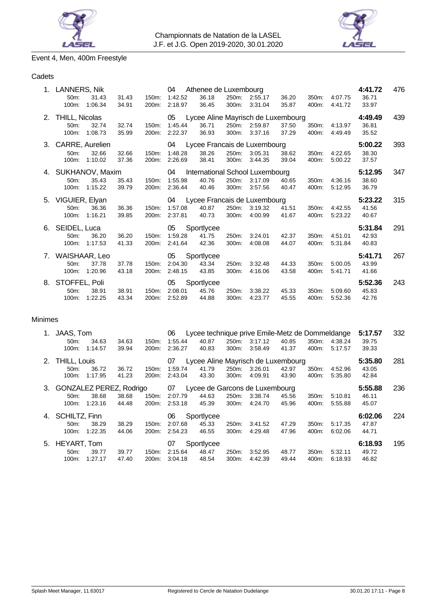



# Event 4, Men, 400m Freestyle

# Cadets

| 1. | LANNERS, Nik<br>50 <sub>m</sub> :<br>31.43<br>100m:<br>1:06.34          | 31.43<br>150m:<br>34.91<br>200m: | 04<br>1:42.52<br>2:18.97 | Athenee de Luxembourg<br>36.18<br>36.45              | 250m:<br>300m: | 2:55.17<br>3:31.04       | 36.20<br>35.87 | 350m:<br>400m: | 4:07.75<br>4:41.72 | 4:41.72<br>36.71<br>33.97 | 476 |
|----|-------------------------------------------------------------------------|----------------------------------|--------------------------|------------------------------------------------------|----------------|--------------------------|----------------|----------------|--------------------|---------------------------|-----|
| 2. | <b>THILL, Nicolas</b><br>32.74<br>50 <sub>m</sub> :<br>1:08.73<br>100m: | 32.74<br>150m:<br>35.99<br>200m: | 05<br>1:45.44<br>2:22.37 | Lycee Aline Mayrisch de Luxembourg<br>36.71<br>36.93 | 300m:          | 250m: 2:59.87<br>3:37.16 | 37.50<br>37.29 | 350m.<br>400m: | 4:13.97<br>4:49.49 | 4:49.49<br>36.81<br>35.52 | 439 |
|    | 3. CARRE, Aurelien<br>32.66<br>50 <sub>m</sub> :<br>100m:<br>1:10.02    | 32.66<br>150m:<br>37.36<br>200m: | 04<br>1:48.28<br>2:26.69 | Lycee Francais de Luxembourg<br>38.26<br>38.41       | 250m:<br>300m: | 3:05.31<br>3:44.35       | 38.62<br>39.04 | 350m:<br>400m: | 4:22.65<br>5:00.22 | 5:00.22<br>38.30<br>37.57 | 393 |
|    | 4. SUKHANOV, Maxim<br>35.43<br>50 <sub>m</sub> :<br>1:15.22<br>100m:    | 35.43<br>150m:<br>39.79<br>200m: | 04<br>1:55.98<br>2:36.44 | International School Luxembourg<br>40.76<br>40.46    | 250m:<br>300m: | 3:17.09<br>3:57.56       | 40.65<br>40.47 | 350m:<br>400m: | 4:36.16<br>5:12.95 | 5:12.95<br>38.60<br>36.79 | 347 |
|    | 5. VIGUIER, Elyan<br>36.36<br>$50m$ :<br>1:16.21<br>$100m$ :            | 36.36<br>150m:<br>39.85<br>200m: | 04<br>1:57.08<br>2:37.81 | Lycee Francais de Luxembourg<br>40.87<br>40.73       | 250m:<br>300m: | 3:19.32<br>4:00.99       | 41.51<br>41.67 | 350m.<br>400m: | 4:42.55<br>5:23.22 | 5:23.22<br>41.56<br>40.67 | 315 |
|    | 6. SEIDEL, Luca<br>50 <sub>m</sub> :<br>36.20<br>1:17.53<br>100m:       | 36.20<br>150m:<br>41.33<br>200m: | 05<br>1:59.28<br>2:41.64 | Sportlycee<br>41.75<br>42.36                         | 250m:<br>300m: | 3:24.01<br>4:08.08       | 42.37<br>44.07 | 350m:<br>400m: | 4:51.01<br>5:31.84 | 5:31.84<br>42.93<br>40.83 | 291 |
|    | 7. WAISHAAR, Leo<br>50 <sub>m</sub> :<br>37.78<br>1:20.96<br>100m:      | 150m:<br>37.78<br>43.18<br>200m: | 05<br>2:04.30<br>2:48.15 | Sportlycee<br>43.34<br>43.85                         | 250m:<br>300m: | 3:32.48<br>4:16.06       | 44.33<br>43.58 | 350m:<br>400m: | 5:00.05<br>5:41.71 | 5:41.71<br>43.99<br>41.66 | 267 |
| 8. | STOFFEL, Poli                                                           |                                  | 05                       | Sportlycee                                           |                |                          |                |                |                    | 5:52.36                   | 243 |

# Minimes

| 1. | JAAS, Tom                  |         |       |                    | 06      | Lycee technique prive Emile-Metz de Dommeldange |       |         |       |                  |         | 5:17.57 | 332 |
|----|----------------------------|---------|-------|--------------------|---------|-------------------------------------------------|-------|---------|-------|------------------|---------|---------|-----|
|    | 50 <sub>m</sub>            | 34.63   | 34.63 | 150m:              | 1:55.44 | 40.87                                           | 250m: | 3:17.12 | 40.85 | 350m.            | 4:38.24 | 39.75   |     |
|    | 100m:                      | 1:14.57 | 39.94 | 200m:              | 2:36.27 | 40.83                                           | 300m: | 3:58.49 | 41.37 | 400m:            | 5:17.57 | 39.33   |     |
|    | 2. THILL, Louis            |         |       |                    | 07      | Lycee Aline Mayrisch de Luxembourg              |       |         |       |                  |         |         | 281 |
|    | 50m                        | 36.72   | 36.72 | $150m$ :           | 1:59.74 | 41.79                                           | 250m: | 3:26.01 | 42.97 | 350m:            | 4:52.96 | 43.05   |     |
|    | 100m:                      | 1:17.95 | 41.23 | 200 <sub>m</sub> : | 2:43.04 | 43.30                                           | 300m: | 4:09.91 | 43.90 | 400m:            | 5.35.80 | 42.84   |     |
|    | 3. GONZALEZ PEREZ, Rodrigo |         |       |                    |         | 07<br>Lycee de Garcons de Luxembourg            |       |         |       |                  |         |         |     |
|    | $50m$ :                    | 38.68   | 38.68 | 150m:              | 2:07.79 | 44.63                                           | 250m: | 3:38.74 | 45.56 | 350 <sub>m</sub> | 5:10.81 | 46.11   |     |
|    | $100m$ :                   | 1:23.16 | 44.48 | 200m:              | 2:53.18 | 45.39                                           | 300m: | 4:24.70 | 45.96 | 400m:            | 5:55.88 | 45.07   |     |
| 4. | <b>SCHILTZ, Finn</b>       |         |       |                    | 06      | Sportlycee                                      |       |         |       |                  |         | 6:02.06 | 224 |
|    | 50 <sub>m</sub>            | 38.29   | 38.29 | 150m:              | 2:07.68 | 45.33                                           | 250m: | 3:41.52 | 47.29 | 350 <sub>m</sub> | 5:17.35 | 47.87   |     |
|    | 100m:                      | 1:22.35 | 44.06 | 200 <sub>m</sub> : | 2:54.23 | 46.55                                           | 300m: | 4:29.48 | 47.96 | 400m:            | 6:02.06 | 44.71   |     |
|    | 5. HEYART, Tom             |         |       |                    | 07      | Sportlycee                                      |       |         |       |                  |         | 6:18.93 | 195 |
|    | 50 <sub>m</sub>            | 39.77   | 39.77 | 150m:              | 2:15.64 | 48.47                                           | 250m: | 3.52.95 | 48.77 | 350m:            | 5:32.11 | 49.72   |     |
|    | 100m:                      | 1:27.17 | 47.40 | 200m:              | 3:04.18 | 48.54                                           | 300m: | 4:42.39 | 49.44 | 400m:            | 6.18.93 | 46.82   |     |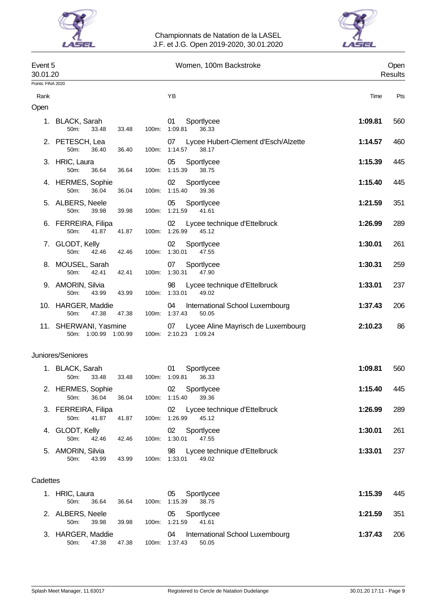



| Event 5<br>30.01.20 |                                                  |                | Women, 100m Backstroke                                            | Open<br>Results |                 |  |
|---------------------|--------------------------------------------------|----------------|-------------------------------------------------------------------|-----------------|-----------------|--|
| Points: FINA 2020   |                                                  |                |                                                                   |                 |                 |  |
| Rank                |                                                  |                | ΥB                                                                | Time            | Pts             |  |
| Open                |                                                  |                |                                                                   |                 |                 |  |
|                     | 1. BLACK, Sarah<br>50m:<br>33.48                 | 100m:<br>33.48 | Sportlycee<br>01<br>1:09.81<br>36.33                              | 1:09.81         | 560             |  |
|                     | 2. PETESCH, Lea<br>50m:<br>36.40                 | 36.40<br>100m: | Lycee Hubert-Clement d'Esch/Alzette<br>07<br>1:14.57<br>38.17     | 1:14.57         | 46 <sub>C</sub> |  |
|                     | 3. HRIC, Laura<br>50m:<br>36.64                  | 100m:<br>36.64 | 05<br>Sportlycee<br>1:15.39<br>38.75                              | 1:15.39         | 445             |  |
|                     | 4. HERMES, Sophie<br>50m:<br>36.04               | 36.04<br>100m: | 02<br>Sportlycee<br>1:15.40<br>39.36                              | 1:15.40         | 445             |  |
|                     | 5. ALBERS, Neele<br>50m:<br>39.98                | 39.98<br>100m: | 05<br>Sportlycee<br>1:21.59<br>41.61                              | 1:21.59         | 351             |  |
|                     | 6. FERREIRA, Filipa<br>50m:<br>41.87             | 41.87<br>100m: | 02<br>Lycee technique d'Ettelbruck<br>1:26.99<br>45.12            | 1:26.99         | 289             |  |
|                     | 7. GLODT, Kelly<br>50m:<br>42.46                 | 100m:<br>42.46 | Sportlycee<br>02<br>1:30.01<br>47.55                              | 1:30.01         | 261             |  |
|                     | 8. MOUSEL, Sarah<br>50m:<br>42.41                | 42.41<br>100m: | Sportlycee<br>07<br>1:30.31<br>47.90                              | 1:30.31         | 259             |  |
|                     | 9. AMORIN, Silvia<br>50m:<br>43.99               | 43.99<br>100m: | 98<br>Lycee technique d'Ettelbruck<br>1:33.01<br>49.02            | 1:33.01         | 237             |  |
|                     | 10. HARGER, Maddie<br>50 <sub>m</sub> :<br>47.38 | 47.38<br>100m: | International School Luxembourg<br>04<br>1:37.43<br>50.05         | 1:37.43         | 206             |  |
|                     | 11. SHERWANI, Yasmine<br>50m: 1:00.99 1:00.99    |                | Lycee Aline Mayrisch de Luxembourg<br>07<br>100m: 2:10.23 1:09.24 | 2:10.23         | 86              |  |
|                     | Juniores/Seniores                                |                |                                                                   |                 |                 |  |
|                     | 1. BLACK, Sarah<br>50m:<br>33.48                 | 33.48<br>100m: | 01<br>Sportlycee<br>1:09.81<br>36.33                              | 1:09.81         | 560             |  |
|                     | 2. HERMES, Sophie<br>36.04<br>50m:               | 100m:<br>36.04 | 02<br>Sportlycee<br>1:15.40<br>39.36                              | 1:15.40         | 445             |  |
|                     | 3. FERREIRA, Filipa<br>50m:<br>41.87             | 41.87<br>100m: | 02<br>Lycee technique d'Ettelbruck<br>1:26.99<br>45.12            | 1:26.99         | 289             |  |
|                     | 4. GLODT, Kelly<br>50m:<br>42.46                 | 42.46<br>100m: | 02<br>Sportlycee<br>1:30.01<br>47.55                              | 1:30.01         | 261             |  |
|                     | 5. AMORIN, Silvia<br>50m:<br>43.99               | 43.99<br>100m: | Lycee technique d'Ettelbruck<br>98<br>1:33.01<br>49.02            | 1:33.01         | 237             |  |
| Cadettes            |                                                  |                |                                                                   |                 |                 |  |
|                     | 1. HRIC, Laura<br>50m:<br>36.64                  | 36.64<br>100m: | 05<br>Sportlycee<br>1:15.39<br>38.75                              | 1:15.39         | 445             |  |
|                     | 2. ALBERS, Neele<br>50m:<br>39.98                | 39.98<br>100m: | 05<br>Sportlycee<br>1:21.59<br>41.61                              | 1:21.59         | 351             |  |
|                     | 3. HARGER, Maddie<br>47.38<br>50m:               | 47.38          | 04<br>International School Luxembourg<br>100m: 1:37.43<br>50.05   | 1:37.43         | 206             |  |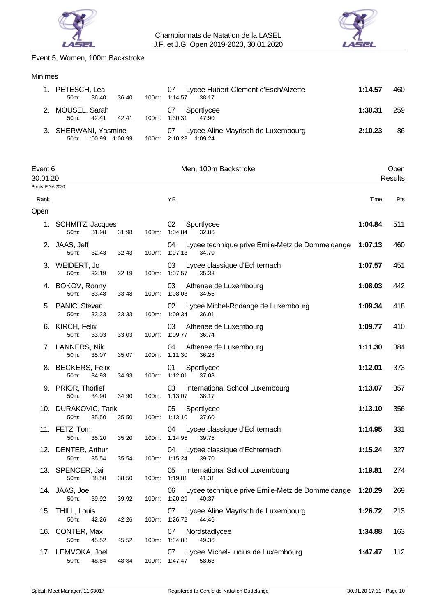



# Event 5, Women, 100m Backstroke

# Minimes

| 1. PETESCH, Lea<br>36.40<br>50m<br>36.40          | 100m:    | Lycee Hubert-Clement d'Esch/Alzette<br>07<br>1:14.57<br>38.17  | 1:14.57 | 460 |
|---------------------------------------------------|----------|----------------------------------------------------------------|---------|-----|
| 2. MOUSEL, Sarah<br>42.41<br>50m<br>42.41         | 100m:    | Sportlycee<br>07<br>1:30.31<br>47.90                           | 1:30.31 | 259 |
| 3. SHERWANI, Yasmine<br>1:00.99<br>1:00.99<br>50m | $100m$ : | Lycee Aline Mayrisch de Luxembourg<br>07<br>2:10.23<br>1:09.24 | 2:10.23 | 86  |

| Event 6<br>30.01.20 |                                                    |       |       | Men, 100m Backstroke                                                         | Open<br><b>Results</b> |     |
|---------------------|----------------------------------------------------|-------|-------|------------------------------------------------------------------------------|------------------------|-----|
| Points: FINA 2020   |                                                    |       |       |                                                                              |                        |     |
| Rank                |                                                    |       |       | YB                                                                           | Time                   | Pts |
| Open                |                                                    |       |       |                                                                              |                        |     |
|                     | 1. SCHMITZ, Jacques<br>50m:<br>31.98               | 31.98 |       | 02<br>Sportlycee<br>100m: 1:04.84<br>32.86                                   | 1:04.84                | 511 |
|                     | 2. JAAS, Jeff<br>50m:<br>32.43                     | 32.43 | 100m: | Lycee technique prive Emile-Metz de Dommeldange<br>04<br>1:07.13<br>34.70    | 1:07.13                | 460 |
|                     | 3. WEIDERT, Jo<br>50m:<br>32.19                    | 32.19 | 100m: | Lycee classique d'Echternach<br>03<br>1:07.57<br>35.38                       | 1:07.57                | 451 |
|                     | 4. BOKOV, Ronny<br>50m:<br>33.48                   | 33.48 | 100m: | 03<br>Athenee de Luxembourg<br>1:08.03<br>34.55                              | 1:08.03                | 442 |
| 5.                  | PANIC, Stevan<br>50m:<br>33.33                     | 33.33 | 100m: | Lycee Michel-Rodange de Luxembourg<br>02<br>1:09.34<br>36.01                 | 1:09.34                | 418 |
|                     | 6. KIRCH, Felix<br>50m:<br>33.03                   | 33.03 | 100m: | 03<br>Athenee de Luxembourg<br>1:09.77<br>36.74                              | 1:09.77                | 410 |
|                     | 7. LANNERS, Nik<br>50m:<br>35.07                   | 35.07 | 100m: | 04<br>Athenee de Luxembourg<br>1:11.30<br>36.23                              | 1:11.30                | 384 |
|                     | 8. BECKERS, Felix<br>50m:<br>34.93                 | 34.93 | 100m: | Sportlycee<br>01<br>1:12.01<br>37.08                                         | 1:12.01                | 373 |
|                     | 9. PRIOR, Thorlief<br>50m:<br>34.90                | 34.90 | 100m: | 03<br>International School Luxembourg<br>1:13.07<br>38.17                    | 1:13.07                | 357 |
|                     | 10. DURAKOVIC, Tarik<br>35.50<br>50 <sub>m</sub> : | 35.50 | 100m: | 05<br>Sportlycee<br>1:13.10<br>37.60                                         | 1:13.10                | 356 |
|                     | 11. FETZ, Tom<br>50m:<br>35.20                     | 35.20 | 100m: | Lycee classique d'Echternach<br>04<br>1:14.95<br>39.75                       | 1:14.95                | 331 |
|                     | 12. DENTER, Arthur<br>50m:<br>35.54                | 35.54 | 100m: | Lycee classique d'Echternach<br>04<br>1:15.24<br>39.70                       | 1:15.24                | 327 |
|                     | 13. SPENCER, Jai<br>50m:<br>38.50                  | 38.50 |       | 05<br>International School Luxembourg<br>100m: 1:19.81<br>41.31              | 1:19.81                | 274 |
|                     | 14. JAAS, Joe<br>39.92<br>50m:                     | 39.92 |       | 06 Lycee technique prive Emile-Metz de Dommeldange<br>100m: 1:20.29<br>40.37 | 1:20.29                | 269 |
|                     | 15. THILL, Louis<br>50m:<br>42.26                  | 42.26 |       | 07<br>Lycee Aline Mayrisch de Luxembourg<br>100m: 1:26.72<br>44.46           | 1:26.72                | 213 |
|                     | 16. CONTER, Max<br>50m:<br>45.52                   | 45.52 |       | 07<br>Nordstadlycee<br>100m: 1:34.88<br>49.36                                | 1:34.88                | 163 |
|                     | 17. LEMVOKA, Joel<br>50m:<br>48.84                 | 48.84 |       | Lycee Michel-Lucius de Luxembourg<br>07<br>58.63<br>100m: 1:47.47            | 1:47.47                | 112 |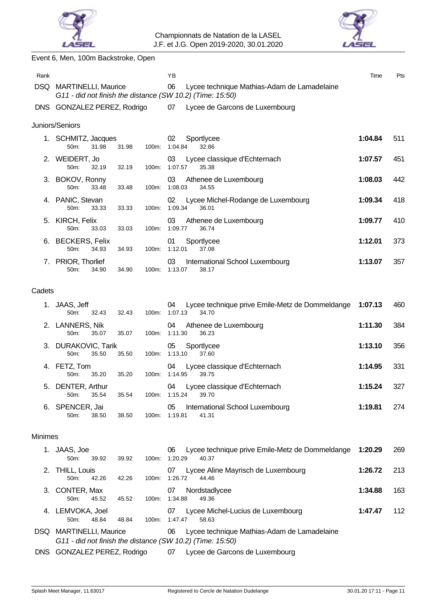



# Event 6, Men, 100m Backstroke, Open

| Rank           |                                              |                | YB                                                                                                             | Time    | Pts |
|----------------|----------------------------------------------|----------------|----------------------------------------------------------------------------------------------------------------|---------|-----|
| <b>DSQ</b>     | <b>MARTINELLI, Maurice</b>                   |                | 06<br>Lycee technique Mathias-Adam de Lamadelaine<br>G11 - did not finish the distance (SW 10.2) (Time: 15:50) |         |     |
|                | DNS GONZALEZ PEREZ, Rodrigo                  |                | 07<br>Lycee de Garcons de Luxembourg                                                                           |         |     |
|                | Juniors/Seniors                              |                |                                                                                                                |         |     |
|                | 1. SCHMITZ, Jacques<br>50m:<br>31.98         | 31.98<br>100m: | 02<br>Sportlycee<br>1:04.84<br>32.86                                                                           | 1:04.84 | 511 |
|                | 2. WEIDERT, Jo<br>50 <sub>m</sub> :<br>32.19 | 32.19<br>100m: | 03<br>Lycee classique d'Echternach<br>1:07.57<br>35.38                                                         | 1:07.57 | 451 |
|                | 3. BOKOV, Ronny<br>50m:<br>33.48             | 100m:<br>33.48 | 03<br>Athenee de Luxembourg<br>1:08.03<br>34.55                                                                | 1:08.03 | 442 |
|                | 4. PANIC, Stevan<br>50m:<br>33.33            | 33.33<br>100m: | 02<br>Lycee Michel-Rodange de Luxembourg<br>1:09.34<br>36.01                                                   | 1:09.34 | 418 |
|                | 5. KIRCH, Felix<br>50m:<br>33.03             | 33.03<br>100m: | 03<br>Athenee de Luxembourg<br>1:09.77<br>36.74                                                                | 1:09.77 | 410 |
|                | 6. BECKERS, Felix<br>50m:<br>34.93           | 100m:<br>34.93 | Sportlycee<br>01<br>1:12.01<br>37.08                                                                           | 1:12.01 | 373 |
|                | 7. PRIOR, Thorlief<br>50m:<br>34.90          | 100m:<br>34.90 | 03<br>International School Luxembourg<br>1:13.07<br>38.17                                                      | 1:13.07 | 357 |
| Cadets         |                                              |                |                                                                                                                |         |     |
| 1.             | JAAS, Jeff<br>50m:<br>32.43                  | 100m:<br>32.43 | Lycee technique prive Emile-Metz de Dommeldange<br>04<br>1:07.13<br>34.70                                      | 1:07.13 | 460 |
| 2.             | LANNERS, Nik<br>50m:<br>35.07                | 35.07<br>100m: | 04<br>Athenee de Luxembourg<br>1:11.30<br>36.23                                                                | 1:11.30 | 384 |
|                | 3. DURAKOVIC, Tarik<br>50m:<br>35.50         | 35.50<br>100m: | 05<br>Sportlycee<br>1:13.10<br>37.60                                                                           | 1:13.10 | 356 |
|                | 4. FETZ, Tom<br>50m:<br>35.20                | 35.20<br>100m: | Lycee classique d'Echternach<br>04<br>1:14.95<br>39.75                                                         | 1:14.95 | 331 |
| 5.             | DENTER, Arthur<br>50m:<br>35.54              | 35.54          | Lycee classique d'Echternach<br>04<br>100m: 1:15.24<br>39.70                                                   | 1:15.24 | 327 |
| 6.             | SPENCER, Jai<br>38.50<br>50m:                | 38.50<br>100m: | International School Luxembourg<br>05<br>1:19.81<br>41.31                                                      | 1:19.81 | 274 |
| <b>Minimes</b> |                                              |                |                                                                                                                |         |     |
|                | 1. JAAS, Joe<br>50m:<br>39.92                | 100m:<br>39.92 | Lycee technique prive Emile-Metz de Dommeldange<br>06<br>1:20.29<br>40.37                                      | 1:20.29 | 269 |
| 2.             | <b>THILL, Louis</b><br>50m:<br>42.26         | 42.26          | 07<br>Lycee Aline Mayrisch de Luxembourg<br>100m: 1:26.72<br>44.46                                             | 1:26.72 | 213 |
| З.             | CONTER, Max<br>50m:<br>45.52                 | 45.52<br>100m: | 07<br>Nordstadlycee<br>1:34.88<br>49.36                                                                        | 1:34.88 | 163 |
|                | 4. LEMVOKA, Joel<br>50m:<br>48.84            | 48.84<br>100m: | Lycee Michel-Lucius de Luxembourg<br>07<br>1:47.47<br>58.63                                                    | 1:47.47 | 112 |
|                | DSQ MARTINELLI, Maurice                      |                | 06<br>Lycee technique Mathias-Adam de Lamadelaine<br>G11 - did not finish the distance (SW 10.2) (Time: 15:50) |         |     |
| <b>DNS</b>     | GONZALEZ PEREZ, Rodrigo                      |                | Lycee de Garcons de Luxembourg<br>07                                                                           |         |     |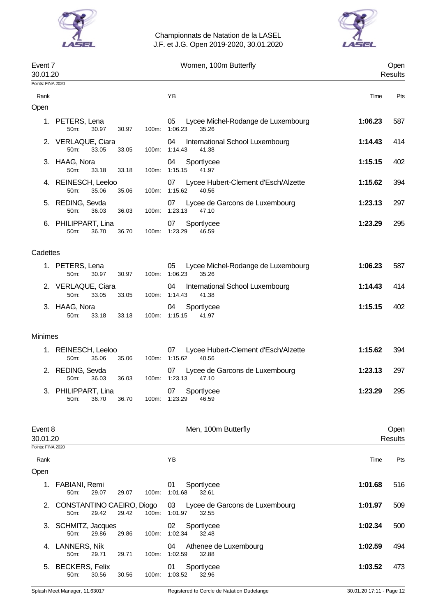



| Event 7<br>30.01.20 |                                                                    | Women, 100m Butterfly                                         |         | Open<br>Results |
|---------------------|--------------------------------------------------------------------|---------------------------------------------------------------|---------|-----------------|
| Points: FINA 2020   |                                                                    |                                                               |         |                 |
| Rank                |                                                                    | YB                                                            | Time    | Pts             |
| Open                |                                                                    |                                                               |         |                 |
|                     | 1. PETERS, Lena<br>50m:<br>30.97<br>100m:<br>30.97                 | 05<br>Lycee Michel-Rodange de Luxembourg<br>1:06.23<br>35.26  | 1:06.23 | 587             |
|                     | 2. VERLAQUE, Ciara<br>50m:<br>33.05<br>100m:<br>33.05              | 04<br>International School Luxembourg<br>1:14.43<br>41.38     | 1:14.43 | 414             |
|                     | 3. HAAG, Nora<br>50m:<br>33.18<br>33.18<br>100m:                   | Sportlycee<br>04<br>1:15.15<br>41.97                          | 1:15.15 | 402             |
|                     | 4. REINESCH, Leeloo<br>50m:<br>35.06<br>35.06<br>100m:             | 07<br>Lycee Hubert-Clement d'Esch/Alzette<br>1:15.62<br>40.56 | 1:15.62 | 394             |
| 5.                  | REDING, Sevda<br>50m:<br>36.03<br>36.03<br>100m:                   | Lycee de Garcons de Luxembourg<br>07<br>1:23.13<br>47.10      | 1:23.13 | 297             |
|                     | 6. PHILIPPART, Lina<br>50m:<br>36.70<br>36.70<br>$100m$ :          | Sportlycee<br>07<br>1:23.29<br>46.59                          | 1:23.29 | 295             |
| Cadettes            |                                                                    |                                                               |         |                 |
|                     | 1. PETERS, Lena<br>50m:<br>30.97<br>100m:<br>30.97                 | Lycee Michel-Rodange de Luxembourg<br>05<br>1:06.23<br>35.26  | 1:06.23 | 587             |
|                     | 2. VERLAQUE, Ciara<br>50 <sub>m</sub> :<br>33.05<br>33.05<br>100m: | 04<br>International School Luxembourg<br>1:14.43<br>41.38     | 1:14.43 | 414             |
|                     | 3. HAAG, Nora<br>50m:<br>33.18<br>33.18                            | 04<br>Sportlycee<br>100m: 1:15.15<br>41.97                    | 1:15.15 | 402             |
| <b>Minimes</b>      |                                                                    |                                                               |         |                 |
|                     | 1. REINESCH, Leeloo<br>35.06<br>100m:<br>50m:<br>35.06             | 07<br>Lycee Hubert-Clement d'Esch/Alzette<br>1:15.62<br>40.56 | 1:15.62 | 394             |
|                     | 2. REDING, Sevda<br>36.03<br>100m:<br>50m:<br>36.03                | Lycee de Garcons de Luxembourg<br>07<br>1:23.13<br>47.10      | 1:23.13 | 297             |
|                     | 3. PHILIPPART, Lina<br>50m:<br>36.70<br>36.70                      | Sportlycee<br>07<br>46.59<br>100m: 1:23.29                    | 1:23.29 | 295             |
|                     |                                                                    |                                                               |         |                 |
| Event 8<br>30.01.20 |                                                                    | Men, 100m Butterfly                                           |         | Open<br>Results |
| Points: FINA 2020   |                                                                    |                                                               |         |                 |
| Rank                |                                                                    | YB                                                            | Time    | Pts             |
| Open                |                                                                    |                                                               |         |                 |
|                     | 1. FABIANI, Remi<br>50m:<br>29.07<br>100m:<br>29.07                | Sportlycee<br>01<br>1:01.68<br>32.61                          | 1:01.68 | 516             |
|                     | 2. CONSTANTINO CAEIRO, Diogo<br>50m:<br>29.42<br>29.42<br>100m:    | 03<br>Lycee de Garcons de Luxembourg<br>1:01.97<br>32.55      | 1:01.97 | 509             |
|                     | 3. SCHMITZ, Jacques<br>50m:<br>29.86<br>100m:<br>29.86             | 02<br>Sportlycee<br>1:02.34<br>32.48                          | 1:02.34 | 500             |
|                     | 4. LANNERS, Nik<br>50m:<br>29.71<br>29.71<br>100m:                 | Athenee de Luxembourg<br>04<br>1:02.59<br>32.88               | 1:02.59 | 494             |
|                     | 5. BECKERS, Felix                                                  | Sportlycee<br>01                                              | 1:03.52 | 473             |

50m: 30.56 30.56 100m: 1:03.52 32.96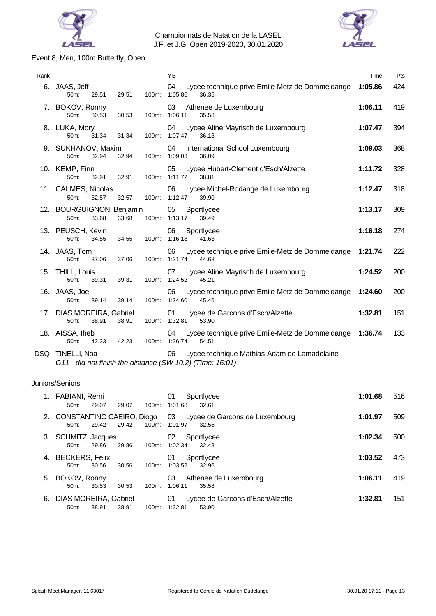



# Event 8, Men, 100m Butterfly, Open

| Rank |                                                                                                | YB                                                                                | Time    | Pts |
|------|------------------------------------------------------------------------------------------------|-----------------------------------------------------------------------------------|---------|-----|
|      | 6. JAAS, Jeff<br>29.51<br>29.51<br>100m:<br>$50m$ :                                            | 04<br>Lycee technique prive Emile-Metz de Dommeldange<br>1:05.86<br>36.35         | 1:05.86 | 424 |
|      | 7. BOKOV, Ronny<br>50m:<br>100m:<br>30.53<br>30.53                                             | 03<br>Athenee de Luxembourg<br>1:06.11<br>35.58                                   | 1:06.11 | 419 |
|      | 8. LUKA, Mory<br>31.34<br>100m:<br>50 <sub>m</sub><br>31.34                                    | Lycee Aline Mayrisch de Luxembourg<br>04<br>1:07.47<br>36.13                      | 1:07.47 | 394 |
|      | 9. SUKHANOV, Maxim<br>50m:<br>32.94<br>32.94                                                   | International School Luxembourg<br>04<br>100m: 1:09.03<br>36.09                   | 1:09.03 | 368 |
|      | 10. KEMP, Finn<br>$50m$ :<br>100m:<br>32.91<br>32.91                                           | Lycee Hubert-Clement d'Esch/Alzette<br>05<br>1:11.72<br>38.81                     | 1:11.72 | 328 |
|      | 11. CALMES, Nicolas<br>32.57<br>100m:<br>50 <sub>m</sub><br>32.57                              | 06<br>Lycee Michel-Rodange de Luxembourg<br>1:12.47<br>39.90                      | 1:12.47 | 318 |
|      | 12. BOURGUIGNON, Benjamin<br>33.68<br>33.68<br>100m:<br>50m:                                   | 05<br>Sportlycee<br>1:13.17<br>39.49                                              | 1:13.17 | 309 |
|      | 13. PEUSCH, Kevin<br>50m:<br>100m:<br>34.55<br>34.55                                           | 06<br>Sportlycee<br>1:16.18<br>41.63                                              | 1:16.18 | 274 |
|      | 14. JAAS, Tom<br>37.06<br>37.06<br>100m:<br>50m:                                               | 06<br>Lycee technique prive Emile-Metz de Dommeldange<br>1:21.74<br>44.68         | 1:21.74 | 222 |
|      | 15. THILL, Louis<br>39.31<br>39.31<br>50m:                                                     | Lycee Aline Mayrisch de Luxembourg<br>07<br>100m: 1:24.52<br>45.21                | 1:24.52 | 200 |
|      | 16. JAAS, Joe<br>50m:<br>39.14<br>39.14<br>100m:                                               | Lycee technique prive Emile-Metz de Dommeldange<br>06<br>1:24.60<br>45.46         | 1:24.60 | 200 |
|      | 17. DIAS MOREIRA, Gabriel<br>38.91<br>100m:<br>50m:<br>38.91                                   | Lycee de Garcons d'Esch/Alzette<br>01<br>1:32.81<br>53.90                         | 1:32.81 | 151 |
|      | 18. AISSA, Iheb<br>42.23<br>$100m$ :<br>$50m$ :<br>42.23                                       | Lycee technique prive Emile-Metz de Dommeldange 1:36.74<br>04<br>1:36.74<br>54.51 |         | 133 |
|      | DSQ TINELLI, Noa<br>$O(14)$ did not finish the distance $(0.11/40.2)$ $(T_{\text{max}}/40.04)$ | Lycee technique Mathias-Adam de Lamadelaine<br>06                                 |         |     |

*G11 - did not finish the distance (SW 10.2) (Time: 16:01)*

# Juniors/Seniors

| 1. FABIANI, Remi<br>29.07<br>29.07<br>100m:<br>50 <sub>m</sub>           | 01<br>Sportlycee<br>1:01.68<br>32.61                                               | 1:01.68 | 516 |
|--------------------------------------------------------------------------|------------------------------------------------------------------------------------|---------|-----|
| 29.42<br>100m:<br>29.42<br>$50m$ :                                       | 2. CONSTANTINO CAEIRO, Diogo 03 Lycee de Garcons de Luxembourg<br>1:01.97<br>32.55 | 1:01.97 | 509 |
| 3. SCHMITZ, Jacques<br>29.86<br>29.86<br>100m:<br>$50m$ :                | 02<br>Sportlycee<br>1:02.34<br>32.48                                               | 1:02.34 | 500 |
| 4. BECKERS, Felix<br>100m:<br>30.56<br>30.56<br>$50m$ :                  | 01<br>Sportlycee<br>1:03.52<br>32.96                                               | 1:03.52 | 473 |
| 5. BOKOV, Ronny<br>30.53<br>100m:<br>30.53<br>50 <sub>m</sub>            | 03<br>Athenee de Luxembourg<br>1:06.11<br>35.58                                    | 1:06.11 | 419 |
| 6. DIAS MOREIRA, Gabriel<br>38.91<br>38.91<br>50 <sub>m</sub> :<br>100m: | Lycee de Garcons d'Esch/Alzette<br>01<br>1:32.81<br>53.90                          | 1:32.81 | 151 |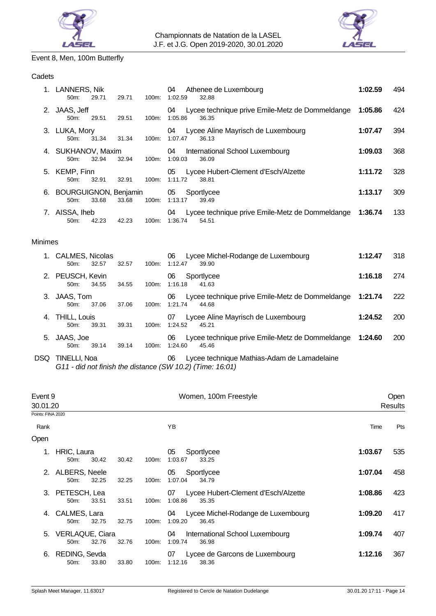



# Event 8, Men, 100m Butterfly

# **Cadets**

|    | 1. LANNERS, Nik<br>50m:          | 29.71 | 29.71 | 100m:    | 04<br>Athenee de Luxembourg<br>1:02.59<br>32.88                           | 1:02.59 | 494 |
|----|----------------------------------|-------|-------|----------|---------------------------------------------------------------------------|---------|-----|
|    | 2. JAAS, Jeff<br>50 <sub>m</sub> | 29.51 | 29.51 | 100m:    | Lycee technique prive Emile-Metz de Dommeldange<br>04<br>1:05.86<br>36.35 | 1:05.86 | 424 |
| 3. | LUKA, Mory<br>$50m$ :            | 31.34 | 31.34 | $100m$ : | Lycee Aline Mayrisch de Luxembourg<br>04<br>1:07.47<br>36.13              | 1:07.47 | 394 |
|    | 4. SUKHANOV, Maxim<br>50m:       | 32.94 | 32.94 | 100m:    | 04<br>International School Luxembourg<br>1:09.03<br>36.09                 | 1:09.03 | 368 |
|    | 5. KEMP, Finn<br>50m:            | 32.91 | 32.91 | $100m$ : | Lycee Hubert-Clement d'Esch/Alzette<br>05<br>1:11.72<br>38.81             | 1:11.72 | 328 |
|    | 6. BOURGUIGNON, Benjamin<br>50m: | 33.68 | 33.68 | 100m:    | 05<br>Sportlycee<br>1:13.17<br>39.49                                      | 1:13.17 | 309 |
| 7. | AISSA, Iheb<br>50m:              | 42.23 | 42.23 | 100m:    | Lycee technique prive Emile-Metz de Dommeldange<br>04<br>1:36.74<br>54.51 | 1:36.74 | 133 |

#### Minimes

|     | 1. CALMES, Nicolas<br>32.57<br>50 <sub>m</sub> | 32.57 | 100m:    | Lycee Michel-Rodange de Luxembourg<br>06<br>1:12.47<br>39.90              | 1:12.47 | 318        |
|-----|------------------------------------------------|-------|----------|---------------------------------------------------------------------------|---------|------------|
|     | 2. PEUSCH, Kevin<br>34.55<br>$50m$ :           | 34.55 | 100m:    | 06<br>Sportlycee<br>1:16.18<br>41.63                                      | 1:16.18 | 274        |
| 3.  | JAAS, Tom<br>37.06<br>$50m$ :                  | 37.06 | 100m:    | Lycee technique prive Emile-Metz de Dommeldange<br>06<br>1:21.74<br>44.68 | 1:21.74 | 222        |
| 4.  | THILL, Louis<br>39.31<br>$50m$ :               | 39.31 | 100m:    | Lycee Aline Mayrisch de Luxembourg<br>07<br>1:24.52<br>45.21              | 1:24.52 | <b>200</b> |
| 5.  | JAAS, Joe<br>39.14<br>50m                      | 39.14 | $100m$ : | Lycee technique prive Emile-Metz de Dommeldange<br>06<br>1:24.60<br>45.46 | 1:24.60 | <b>200</b> |
| DSQ | TINELLI, Noa                                   |       |          | Lycee technique Mathias-Adam de Lamadelaine<br>06                         |         |            |

*G11 - did not finish the distance (SW 10.2) (Time: 16:01)*

| Event 9           | 30.01.20                           |       |       |       | Women, 100m Freestyle                                         | Open<br><b>Results</b> |     |
|-------------------|------------------------------------|-------|-------|-------|---------------------------------------------------------------|------------------------|-----|
| Points: FINA 2020 |                                    |       |       |       |                                                               |                        |     |
| Rank              |                                    |       |       |       | YB                                                            | Time                   | Pts |
| Open              |                                    |       |       |       |                                                               |                        |     |
|                   | HRIC, Laura<br>50m                 | 30.42 | 30.42 | 100m: | 05<br>Sportlycee<br>1:03.67<br>33.25                          | 1:03.67                | 535 |
| 2.                | ALBERS, Neele<br>50 <sub>m</sub> : | 32.25 | 32.25 | 100m: | 05<br>Sportlycee<br>1:07.04<br>34.79                          | 1:07.04                | 458 |
| 3.                | PETESCH, Lea<br>50 <sub>m</sub> :  | 33.51 | 33.51 | 100m: | Lycee Hubert-Clement d'Esch/Alzette<br>07<br>1:08.86<br>35.35 | 1:08.86                | 423 |
|                   | 4. CALMES, Lara<br>$50m$ :         | 32.75 | 32.75 | 100m: | Lycee Michel-Rodange de Luxembourg<br>04<br>1:09.20<br>36.45  | 1:09.20                | 417 |
|                   | 5. VERLAQUE, Ciara<br>$50m$ :      | 32.76 | 32.76 | 100m: | 04<br>International School Luxembourg<br>1:09.74<br>36.98     | 1:09.74                | 407 |
| 6.                | REDING, Sevda<br>50 <sub>m</sub> : | 33.80 | 33.80 | 100m: | Lycee de Garcons de Luxembourg<br>07<br>1:12.16<br>38.36      | 1:12.16                | 367 |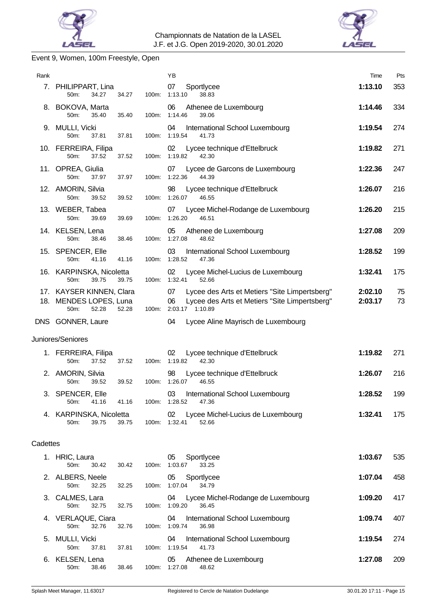



# Event 9, Women, 100m Freestyle, Open

| Rank     |                                                                              |       | YB                                                                                                                            | Time               | Pts      |
|----------|------------------------------------------------------------------------------|-------|-------------------------------------------------------------------------------------------------------------------------------|--------------------|----------|
|          | 7. PHILIPPART, Lina<br>50m:<br>34.27<br>34.27                                | 100m: | 07<br>Sportlycee<br>1:13.10<br>38.83                                                                                          | 1:13.10            | 353      |
|          | 8. BOKOVA, Marta<br>50m:<br>35.40<br>35.40                                   | 100m: | 06<br>Athenee de Luxembourg<br>1:14.46<br>39.06                                                                               | 1:14.46            | 334      |
|          | 9. MULLI, Vicki<br>50m:<br>37.81<br>37.81                                    |       | 04<br>International School Luxembourg<br>100m: 1:19.54<br>41.73                                                               | 1:19.54            | 274      |
|          | 10. FERREIRA, Filipa<br>50m:<br>37.52<br>37.52                               | 100m: | 02<br>Lycee technique d'Ettelbruck<br>1:19.82<br>42.30                                                                        | 1:19.82            | 271      |
|          | 11. OPREA, Giulia<br>50m:<br>37.97<br>37.97                                  | 100m: | Lycee de Garcons de Luxembourg<br>07<br>1:22.36<br>44.39                                                                      | 1:22.36            | 247      |
|          | 12. AMORIN, Silvia<br>50m:<br>39.52<br>39.52                                 | 100m: | 98<br>Lycee technique d'Ettelbruck<br>1:26.07<br>46.55                                                                        | 1:26.07            | 216      |
|          | 13. WEBER, Tabea<br>50m:<br>39.69<br>39.69                                   | 100m: | Lycee Michel-Rodange de Luxembourg<br>07<br>1:26.20<br>46.51                                                                  | 1:26.20            | 215      |
|          | 14. KELSEN, Lena<br>50m:<br>38.46<br>38.46                                   | 100m: | 05<br>Athenee de Luxembourg<br>1:27.08<br>48.62                                                                               | 1:27.08            | 209      |
|          | 15. SPENCER, Elle<br>50m:<br>41.16<br>41.16                                  | 100m: | 03<br>International School Luxembourg<br>1:28.52<br>47.36                                                                     | 1:28.52            | 199      |
|          | 16. KARPINSKA, Nicoletta<br>50m:<br>39.75<br>39.75                           | 100m: | Lycee Michel-Lucius de Luxembourg<br>02<br>1:32.41<br>52.66                                                                   | 1:32.41            | 175      |
|          | 17. KAYSER KINNEN, Clara<br>18. MENDES LOPES, Luna<br>50m:<br>52.28<br>52.28 | 100m: | 07<br>Lycee des Arts et Metiers "Site Limpertsberg"<br>06<br>Lycee des Arts et Metiers "Site Limpertsberg"<br>2:03.17 1:10.89 | 2:02.10<br>2:03.17 | 75<br>73 |
|          | DNS GONNER, Laure                                                            |       | 04<br>Lycee Aline Mayrisch de Luxembourg                                                                                      |                    |          |
|          | Juniores/Seniores                                                            |       |                                                                                                                               |                    |          |
|          | 1. FERREIRA, Filipa<br>37.52<br>50m:<br>37.52                                | 100m: | 02<br>Lycee technique d'Ettelbruck<br>1:19.82<br>42.30                                                                        | 1:19.82            | 271      |
|          | 2. AMORIN, Silvia<br>50m:<br>39.52<br>39.52                                  |       | 98<br>Lycee technique d'Ettelbruck<br>100m: 1:26.07<br>46.55                                                                  | 1:26.07            | 216      |
|          | 3. SPENCER, Elle<br>50m:<br>41.16<br>41.16                                   |       | 03 International School Luxembourg<br>100m: 1:28.52<br>47.36                                                                  | 1:28.52            | 199      |
|          | 4. KARPINSKA, Nicoletta<br>39.75<br>50m:<br>39.75                            |       | 02<br>Lycee Michel-Lucius de Luxembourg<br>100m: 1:32.41<br>52.66                                                             | 1:32.41            | 175      |
| Cadettes |                                                                              |       |                                                                                                                               |                    |          |
|          | 1. HRIC, Laura<br>50m:<br>30.42<br>30.42                                     |       | 05<br>Sportlycee<br>100m: 1:03.67<br>33.25                                                                                    | 1:03.67            | 535      |
|          | 2. ALBERS, Neele<br>50m:<br>32.25<br>32.25                                   | 100m: | 05<br>Sportlycee<br>1:07.04<br>34.79                                                                                          | 1:07.04            | 458      |
|          | 3. CALMES, Lara<br>50m:<br>32.75<br>32.75                                    | 100m: | Lycee Michel-Rodange de Luxembourg<br>04<br>1:09.20<br>36.45                                                                  | 1:09.20            | 417      |
|          | 4. VERLAQUE, Ciara<br>32.76<br>50m:<br>32.76                                 |       | 04<br>International School Luxembourg<br>100m: 1:09.74<br>36.98                                                               | 1:09.74            | 407      |
|          | 5. MULLI, Vicki<br>50m:<br>37.81<br>37.81                                    | 100m: | International School Luxembourg<br>04<br>1:19.54<br>41.73                                                                     | 1:19.54            | 274      |
|          | 6. KELSEN, Lena<br>50m:<br>38.46<br>38.46                                    |       | Athenee de Luxembourg<br>05<br>100m: 1:27.08<br>48.62                                                                         | 1:27.08            | 209      |
|          |                                                                              |       |                                                                                                                               |                    |          |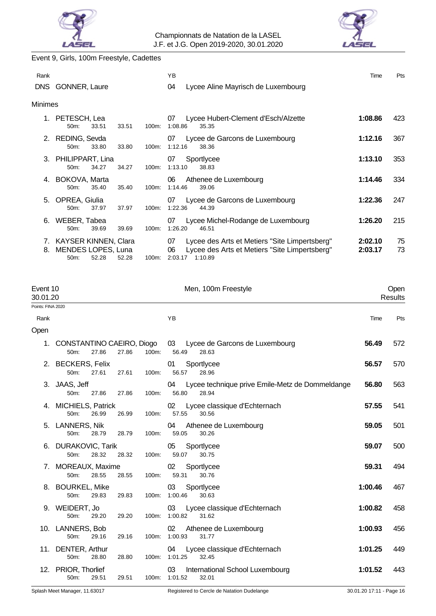



Event 9, Girls, 100m Freestyle, Cadettes

| Rank    |                                                                |                   | YB.                                                                                                                              | Time               | Pts      |
|---------|----------------------------------------------------------------|-------------------|----------------------------------------------------------------------------------------------------------------------------------|--------------------|----------|
| DNS.    | <b>GONNER, Laure</b>                                           |                   | 04<br>Lycee Aline Mayrisch de Luxembourg                                                                                         |                    |          |
| Minimes |                                                                |                   |                                                                                                                                  |                    |          |
| 1.      | PETESCH, Lea<br>$50m$ :<br>33.51                               | 33.51<br>100m:    | 07<br>Lycee Hubert-Clement d'Esch/Alzette<br>1:08.86<br>35.35                                                                    | 1:08.86            | 423      |
|         | 2. REDING, Sevda<br>$50m$ :<br>33.80                           | 33.80<br>100m:    | Lycee de Garcons de Luxembourg<br>07<br>1:12.16<br>38.36                                                                         | 1:12.16            | 367      |
|         | 3. PHILIPPART, Lina<br>$50m$ :<br>34.27                        | 100m:<br>34.27    | 07<br>Sportlycee<br>1:13.10<br>38.83                                                                                             | 1:13.10            | 353      |
|         | BOKOVA, Marta<br>$50m$ :<br>35.40                              | 35.40<br>$100m$ : | 06<br>Athenee de Luxembourg<br>1:14.46<br>39.06                                                                                  | 1:14.46            | 334      |
|         | 5. OPREA, Giulia<br>$50m$ :<br>37.97                           | 37.97<br>$100m$ : | Lycee de Garcons de Luxembourg<br>07<br>1:22.36<br>44.39                                                                         | 1:22.36            | 247      |
| 6.      | WEBER, Tabea<br>$50m$ :<br>39.69                               | $100m$ :<br>39.69 | Lycee Michel-Rodange de Luxembourg<br>07<br>1:26.20<br>46.51                                                                     | 1:26.20            | 215      |
| 8.      | 7. KAYSER KINNEN, Clara<br>MENDES LOPES, Luna<br>52.28<br>50m: | 52.28<br>100m:    | Lycee des Arts et Metiers "Site Limpertsberg"<br>07<br>Lycee des Arts et Metiers "Site Limpertsberg"<br>06<br>2:03.17<br>1:10.89 | 2:02.10<br>2:03.17 | 75<br>73 |

| Event 10<br>30.01.20<br>Points: FINA 2020 |                                            |                | Men, 100m Freestyle                                                     |                          | Open<br><b>Results</b> |
|-------------------------------------------|--------------------------------------------|----------------|-------------------------------------------------------------------------|--------------------------|------------------------|
| Rank                                      |                                            |                | YB                                                                      | Time                     | Pts                    |
| Open                                      |                                            |                |                                                                         |                          |                        |
| 1.                                        | CONSTANTINO CAEIRO, Diogo<br>27.86<br>50m: | 27.86<br>100m: | 03 Lycee de Garcons de Luxembourg<br>56.49<br>28.63                     | 56.49                    | 572                    |
|                                           | 2. BECKERS, Felix<br>50m:<br>27.61         | 100m:<br>27.61 | Sportlycee<br>01<br>56.57<br>28.96                                      | 56.57                    | 570                    |
|                                           | 3. JAAS, Jeff<br>50m:<br>27.86             | 27.86<br>100m: | Lycee technique prive Emile-Metz de Dommeldange<br>04<br>56.80<br>28.94 | 56.80                    | 563                    |
|                                           | 4. MICHIELS, Patrick<br>50m:<br>26.99      | 26.99<br>100m: | Lycee classique d'Echternach<br>02<br>57.55<br>30.56                    | 57.55                    | 541                    |
|                                           | 5. LANNERS, Nik<br>50m:<br>28.79           | 28.79<br>100m: | 04<br>Athenee de Luxembourg<br>59.05<br>30.26                           | 59.05                    | 501                    |
|                                           | 6. DURAKOVIC, Tarik<br>28.32<br>50m:       | 28.32<br>100m: | 05<br>Sportlycee<br>59.07<br>30.75                                      | 59.07                    | 500                    |
|                                           | 7. MOREAUX, Maxime<br>50m:<br>28.55        | 28.55<br>100m: | 02<br>Sportlycee<br>59.31<br>30.76                                      | 59.31                    | 494                    |
|                                           | 8. BOURKEL, Mike<br>50m:<br>29.83          | 29.83<br>100m: | 03<br>Sportlycee<br>1:00.46<br>30.63                                    | 1:00.46                  | 467                    |
|                                           | 9. WEIDERT, Jo<br>50m:<br>29.20            | 29.20          | 03<br>Lycee classique d'Echternach<br>100m: 1:00.82<br>31.62            | 1:00.82                  | 458                    |
|                                           | 10. LANNERS, Bob<br>50m:<br>29.16          | 29.16          | 02<br>Athenee de Luxembourg<br>100m: 1:00.93<br>31.77                   | 1:00.93                  | 456                    |
|                                           | 11. DENTER, Arthur<br>50m:<br>28.80        | 28.80          | Lycee classique d'Echternach<br>04<br>100m: 1:01.25<br>32.45            | 1:01.25                  | 449                    |
|                                           | 12. PRIOR, Thorlief<br>50m:<br>29.51       | 29.51<br>100m: | 03<br>International School Luxembourg<br>1:01.52<br>32.01               | 1:01.52                  | 443                    |
|                                           | Splash Meet Manager, 11.63017              |                | Registered to Cercle de Natation Dudelange                              | 30.01.20 17:11 - Page 16 |                        |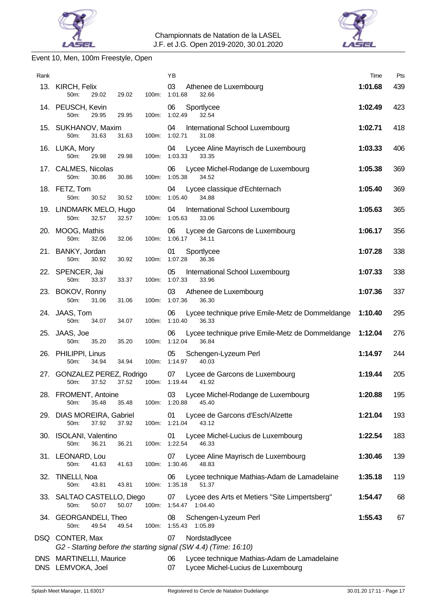



# Event 10, Men, 100m Freestyle, Open

| Rank |                                                       |       | ΥB                                                                                           | Time    | Pts |
|------|-------------------------------------------------------|-------|----------------------------------------------------------------------------------------------|---------|-----|
|      | 13. KIRCH, Felix<br>50m:<br>29.02<br>29.02            | 100m: | 03<br>Athenee de Luxembourg<br>1:01.68<br>32.66                                              | 1:01.68 | 439 |
|      | 14. PEUSCH, Kevin<br>50m:<br>29.95<br>29.95           | 100m: | 06<br>Sportlycee<br>1:02.49<br>32.54                                                         | 1:02.49 | 423 |
|      | 15. SUKHANOV, Maxim<br>50m:<br>31.63<br>31.63         | 100m: | 04<br>International School Luxembourg<br>1:02.71<br>31.08                                    | 1:02.71 | 418 |
|      | 16. LUKA, Mory<br>50m:<br>29.98<br>29.98              | 100m: | 04<br>Lycee Aline Mayrisch de Luxembourg<br>1:03.33<br>33.35                                 | 1:03.33 | 406 |
|      | 17. CALMES, Nicolas<br>50m:<br>30.86<br>30.86         | 100m: | 06<br>Lycee Michel-Rodange de Luxembourg<br>1:05.38<br>34.52                                 | 1:05.38 | 369 |
|      | 18. FETZ, Tom<br>50m:<br>30.52<br>30.52               | 100m: | 04<br>Lycee classique d'Echternach<br>1:05.40<br>34.88                                       | 1:05.40 | 369 |
|      | 19. LINDMARK MELO, Hugo<br>50m:<br>32.57<br>32.57     | 100m: | 04<br>International School Luxembourg<br>1:05.63<br>33.06                                    | 1:05.63 | 365 |
|      | 20. MOOG, Mathis<br>50m:<br>32.06<br>32.06            | 100m: | Lycee de Garcons de Luxembourg<br>06<br>1:06.17<br>34.11                                     | 1:06.17 | 356 |
|      | 21. BANKY, Jordan<br>50m:<br>30.92<br>30.92           | 100m: | Sportlycee<br>01<br>1:07.28<br>36.36                                                         | 1:07.28 | 338 |
|      | 22. SPENCER, Jai<br>50m:<br>33.37<br>33.37            | 100m: | 05<br>International School Luxembourg<br>1:07.33<br>33.96                                    | 1:07.33 | 338 |
|      | 23. BOKOV, Ronny<br>50m:<br>31.06<br>31.06            | 100m: | 03<br>Athenee de Luxembourg<br>1:07.36<br>36.30                                              | 1:07.36 | 337 |
|      | 24. JAAS, Tom<br>50m:<br>34.07<br>34.07               | 100m: | 06<br>Lycee technique prive Emile-Metz de Dommeldange<br>1:10.40<br>36.33                    | 1:10.40 | 295 |
|      | 25. JAAS, Joe<br>50m:<br>35.20<br>35.20               | 100m: | Lycee technique prive Emile-Metz de Dommeldange<br>06<br>1:12.04<br>36.84                    | 1:12.04 | 276 |
|      | 26. PHILIPPI, Linus<br>50m:<br>34.94<br>34.94         | 100m: | 05<br>Schengen-Lyzeum Perl<br>1:14.97<br>40.03                                               | 1:14.97 | 244 |
|      | 27. GONZALEZ PEREZ, Rodrigo<br>50m:<br>37.52<br>37.52 | 100m: | 07<br>Lycee de Garcons de Luxembourg<br>1:19.44<br>41.92                                     | 1:19.44 | 205 |
|      | 28. FROMENT, Antoine<br>35.48<br>50m:<br>35.48        |       | 03<br>Lycee Michel-Rodange de Luxembourg<br>100m: 1:20.88<br>45.40                           | 1:20.88 | 195 |
|      | 29. DIAS MOREIRA, Gabriel<br>50m:<br>37.92<br>37.92   |       | 01<br>Lycee de Garcons d'Esch/Alzette<br>100m: 1:21.04<br>43.12                              | 1:21.04 | 193 |
|      | 30. ISOLANI, Valentino<br>50m:<br>36.21<br>36.21      |       | Lycee Michel-Lucius de Luxembourg<br>01<br>100m: 1:22.54<br>46.33                            | 1:22.54 | 183 |
|      | 31. LEONARD, Lou<br>50m:<br>41.63<br>41.63            | 100m: | Lycee Aline Mayrisch de Luxembourg<br>07<br>1:30.46<br>48.83                                 | 1:30.46 | 139 |
|      | 32. TINELLI, Noa<br>50m:<br>43.81<br>43.81            |       | 06<br>Lycee technique Mathias-Adam de Lamadelaine<br>100m: 1:35.18<br>51.37                  | 1:35.18 | 119 |
|      | 33. SALTAO CASTELLO, Diego<br>50.07<br>50.07<br>50m:  | 100m: | 07<br>Lycee des Arts et Metiers "Site Limpertsberg"<br>1:54.47 1:04.40                       | 1:54.47 | 68  |
|      | 34. GEORGANDELI, Theo<br>50m:<br>49.54<br>49.54       |       | 08<br>Schengen-Lyzeum Perl<br>100m: 1:55.43 1:05.89                                          | 1:55.43 | 67  |
|      | DSQ CONTER, Max                                       |       | 07<br>Nordstadlycee<br>G2 - Starting before the starting signal (SW 4.4) (Time: 16:10)       |         |     |
|      | DNS MARTINELLI, Maurice<br>DNS LEMVOKA, Joel          |       | Lycee technique Mathias-Adam de Lamadelaine<br>06<br>07<br>Lycee Michel-Lucius de Luxembourg |         |     |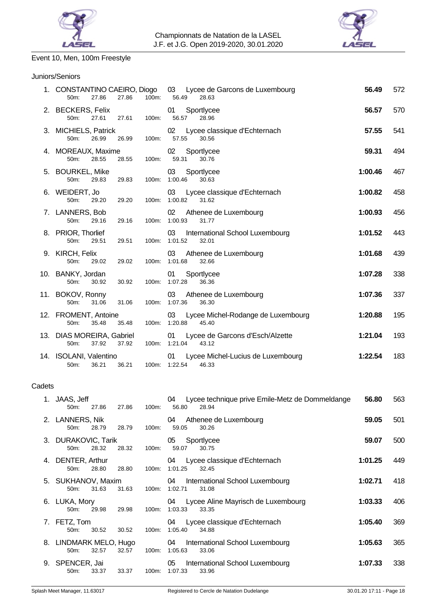



# Event 10, Men, 100m Freestyle

### Juniors/Seniors

|        | 1. CONSTANTINO CAEIRO, Diogo<br>27.86<br>50m:<br>27.86 | 100m: | 03 Lycee de Garcons de Luxembourg<br>56.49<br>28.63                     | 56.49   | 572 |
|--------|--------------------------------------------------------|-------|-------------------------------------------------------------------------|---------|-----|
|        | 2. BECKERS, Felix<br>27.61<br>50m:<br>27.61            | 100m: | 01<br>Sportlycee<br>56.57<br>28.96                                      | 56.57   | 570 |
|        | 3. MICHIELS, Patrick<br>50m:<br>26.99<br>26.99         | 100m: | Lycee classique d'Echternach<br>02<br>57.55<br>30.56                    | 57.55   | 541 |
|        | 4. MOREAUX, Maxime<br>50m:<br>28.55<br>28.55           | 100m: | Sportlycee<br>02<br>59.31<br>30.76                                      | 59.31   | 494 |
|        | 5. BOURKEL, Mike<br>29.83<br>50m:<br>29.83             |       | Sportlycee<br>03<br>100m: 1:00.46<br>30.63                              | 1:00.46 | 467 |
|        | 6. WEIDERT, Jo<br>50m:<br>29.20<br>29.20               | 100m: | Lycee classique d'Echternach<br>03<br>1:00.82<br>31.62                  | 1:00.82 | 458 |
|        | 7. LANNERS, Bob<br>50m:<br>29.16<br>29.16              | 100m: | 02<br>Athenee de Luxembourg<br>1:00.93<br>31.77                         | 1:00.93 | 456 |
|        | 8. PRIOR, Thorlief<br>50m:<br>29.51<br>29.51           | 100m: | 03<br>International School Luxembourg<br>1:01.52<br>32.01               | 1:01.52 | 443 |
|        | 9. KIRCH, Felix<br>50m:<br>29.02<br>29.02              | 100m: | 03<br>Athenee de Luxembourg<br>1:01.68<br>32.66                         | 1:01.68 | 439 |
|        | 10. BANKY, Jordan<br>50m:<br>30.92<br>30.92            | 100m: | Sportlycee<br>01<br>36.36<br>1:07.28                                    | 1:07.28 | 338 |
|        | 11. BOKOV, Ronny<br>50m:<br>31.06<br>31.06             |       | 03<br>Athenee de Luxembourg<br>100m: 1:07.36<br>36.30                   | 1:07.36 | 337 |
|        | 12. FROMENT, Antoine<br>50m:<br>35.48<br>35.48         |       | Lycee Michel-Rodange de Luxembourg<br>03<br>100m: 1:20.88<br>45.40      | 1:20.88 | 195 |
|        | 13. DIAS MOREIRA, Gabriel<br>50m:<br>37.92<br>37.92    |       | 01<br>Lycee de Garcons d'Esch/Alzette<br>100m: 1:21.04<br>43.12         | 1:21.04 | 193 |
|        | 14. ISOLANI, Valentino<br>50m:<br>36.21<br>36.21       |       | Lycee Michel-Lucius de Luxembourg<br>01<br>100m: 1:22.54<br>46.33       | 1:22.54 | 183 |
| Cadets |                                                        |       |                                                                         |         |     |
|        | 1. JAAS, Jeff<br>27.86<br>50m:<br>27.86                | 100m: | Lycee technique prive Emile-Metz de Dommeldange<br>04<br>56.80<br>28.94 | 56.80   | 563 |
|        | 2. LANNERS, Nik<br>50m:<br>28.79<br>28.79              | 100m: | Athenee de Luxembourg<br>04<br>59.05<br>30.26                           | 59.05   | 501 |
|        | 3. DURAKOVIC, Tarik<br>28.32<br>28.32<br>50m:          | 100m: | Sportlycee<br>05<br>59.07<br>30.75                                      | 59.07   | 500 |
| 4.     | DENTER, Arthur<br>50m:<br>28.80<br>28.80               | 100m: | Lycee classique d'Echternach<br>04<br>1:01.25<br>32.45                  | 1:01.25 | 449 |
|        | 5. SUKHANOV, Maxim                                     |       | 04<br>International School Luxembourg                                   | 1:02.71 | 418 |

6. LUKA, Mory 04 Lycee Aline Mayrisch de Luxembourg **1:03.33** 406

7. FETZ, Tom 04 Lycee classique d'Echternach **1:05.40** 369

100m: 1:05.40

100m: 1:03.33 33.35

50m: 31.63 31.63 100m: 1:02.71 31.08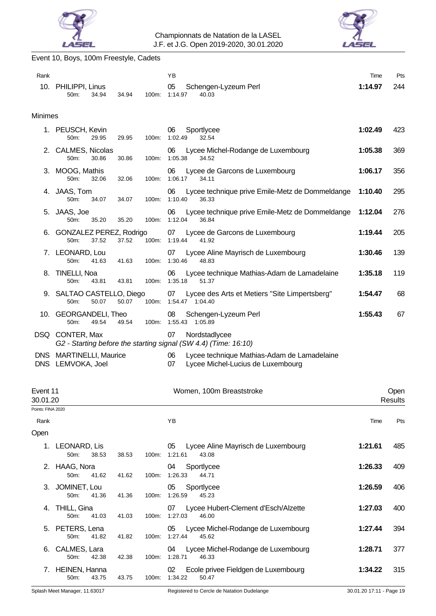



# Event 10, Boys, 100m Freestyle, Cadets

| Rank                     |                                                   |                   | YB                                                                                           | Time    | Pts |
|--------------------------|---------------------------------------------------|-------------------|----------------------------------------------------------------------------------------------|---------|-----|
|                          | 10. PHILIPPI, Linus<br>34.94<br>50 <sub>m</sub> : | 34.94<br>100m:    | 05<br>Schengen-Lyzeum Perl<br>1:14.97<br>40.03                                               | 1:14.97 | 244 |
| <b>Minimes</b>           |                                                   |                   |                                                                                              |         |     |
|                          | 1. PEUSCH, Kevin<br>50m:<br>29.95                 | 100m:<br>29.95    | Sportlycee<br>06<br>1:02.49<br>32.54                                                         | 1:02.49 | 423 |
|                          | 2. CALMES, Nicolas<br>50m:<br>30.86               | 30.86<br>100m:    | 06<br>Lycee Michel-Rodange de Luxembourg<br>1:05.38<br>34.52                                 | 1:05.38 | 369 |
|                          | 3. MOOG, Mathis<br>50m:<br>32.06                  | $100m$ :<br>32.06 | Lycee de Garcons de Luxembourg<br>06<br>1:06.17<br>34.11                                     | 1:06.17 | 356 |
|                          | 4. JAAS, Tom<br>50m:<br>34.07                     | 100m:<br>34.07    | Lycee technique prive Emile-Metz de Dommeldange<br>06<br>1:10.40<br>36.33                    | 1:10.40 | 295 |
|                          | 5. JAAS, Joe<br>50m:<br>35.20                     | 35.20<br>100m:    | Lycee technique prive Emile-Metz de Dommeldange<br>06<br>1:12.04<br>36.84                    | 1:12.04 | 276 |
| 6.                       | <b>GONZALEZ PEREZ, Rodrigo</b><br>50m:<br>37.52   | 37.52<br>100m:    | Lycee de Garcons de Luxembourg<br>07<br>1:19.44<br>41.92                                     | 1:19.44 | 205 |
|                          | 7. LEONARD, Lou<br>50m:<br>41.63                  | 100m:<br>41.63    | Lycee Aline Mayrisch de Luxembourg<br>07<br>1:30.46<br>48.83                                 | 1:30.46 | 139 |
|                          | 8. TINELLI, Noa<br>50m:<br>43.81                  | 100m:<br>43.81    | Lycee technique Mathias-Adam de Lamadelaine<br>06<br>1:35.18<br>51.37                        | 1:35.18 | 119 |
|                          | 9. SALTAO CASTELLO, Diego<br>50.07<br>50m:        | 50.07<br>100m:    | Lycee des Arts et Metiers "Site Limpertsberg"<br>07<br>1:54.47 1:04.40                       | 1:54.47 | 68  |
|                          | 10. GEORGANDELI, Theo<br>$50m$ :<br>49.54         | 49.54<br>100m:    | 08<br>Schengen-Lyzeum Perl<br>1:55.43<br>1:05.89                                             | 1:55.43 | 67  |
|                          | DSQ CONTER, Max                                   |                   | 07<br>Nordstadlycee<br>G2 - Starting before the starting signal (SW 4.4) (Time: 16:10)       |         |     |
| <b>DNS</b><br><b>DNS</b> | <b>MARTINELLI, Maurice</b><br>LEMVOKA, Joel       |                   | Lycee technique Mathias-Adam de Lamadelaine<br>06<br>07<br>Lycee Michel-Lucius de Luxembourg |         |     |

| Event 11<br>30.01.20 |                                   |       |       |          | Women, 100m Breaststroke                                      |         | Open<br><b>Results</b> |
|----------------------|-----------------------------------|-------|-------|----------|---------------------------------------------------------------|---------|------------------------|
| Points: FINA 2020    |                                   |       |       |          |                                                               |         |                        |
| Rank                 |                                   |       |       |          | ΥB                                                            | Time    | Pts                    |
| Open                 |                                   |       |       |          |                                                               |         |                        |
| 1.                   | LEONARD, Lis<br>50 <sub>m</sub> : | 38.53 | 38.53 | 100m:    | Lycee Aline Mayrisch de Luxembourg<br>05<br>1:21.61<br>43.08  | 1:21.61 | 485                    |
| 2.                   | HAAG, Nora<br>50 <sub>m</sub> :   | 41.62 | 41.62 | 100m:    | 04<br>Sportlycee<br>1:26.33<br>44.71                          | 1:26.33 | 409                    |
|                      | 3. JOMINET, Lou<br>$50m$ :        | 41.36 | 41.36 | 100m:    | 05<br>Sportlycee<br>1:26.59<br>45.23                          | 1:26.59 | 406                    |
| 4.                   | THILL, Gina<br>$50m$ :            | 41.03 | 41.03 | $100m$ : | Lycee Hubert-Clement d'Esch/Alzette<br>07<br>1:27.03<br>46.00 | 1:27.03 | 400                    |
|                      | 5. PETERS, Lena<br>50m:           | 41.82 | 41.82 | 100m:    | Lycee Michel-Rodange de Luxembourg<br>05<br>1:27.44<br>45.62  | 1:27.44 | 394                    |
| 6.                   | CALMES, Lara<br>50m:              | 42.38 | 42.38 | 100m:    | Lycee Michel-Rodange de Luxembourg<br>04<br>1:28.71<br>46.33  | 1:28.71 | 377                    |
|                      | HEINEN, Hanna<br>$50m$ :          | 43.75 | 43.75 | $100m$ : | Ecole privee Fieldgen de Luxembourg<br>02<br>1:34.22<br>50.47 | 1:34.22 | 315                    |
|                      |                                   |       |       |          |                                                               |         |                        |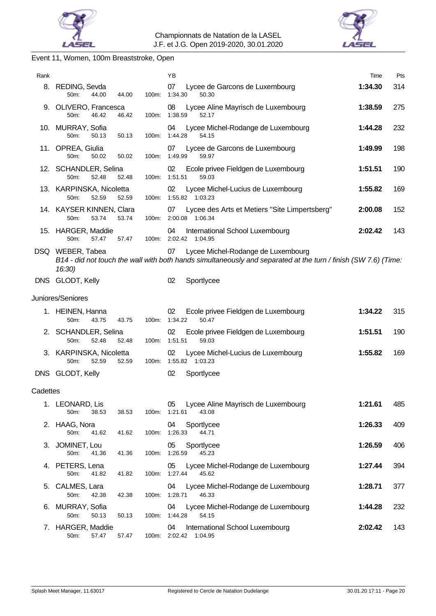



# Event 11, Women, 100m Breaststroke, Open

| Rank       |                                                    |       | YB                                                                                                                                                         | Time    | Pts |
|------------|----------------------------------------------------|-------|------------------------------------------------------------------------------------------------------------------------------------------------------------|---------|-----|
|            | 8. REDING, Sevda<br>50m:<br>44.00<br>44.00         |       | 07<br>Lycee de Garcons de Luxembourg<br>100m: 1:34.30<br>50.30                                                                                             | 1:34.30 | 314 |
|            | 9. OLIVERO, Francesca<br>50m:<br>46.42<br>46.42    | 100m: | 08<br>Lycee Aline Mayrisch de Luxembourg<br>1:38.59<br>52.17                                                                                               | 1:38.59 | 275 |
|            | 10. MURRAY, Sofia<br>50m:<br>50.13<br>50.13        | 100m: | 04<br>Lycee Michel-Rodange de Luxembourg<br>1:44.28<br>54.15                                                                                               | 1:44.28 | 232 |
|            | 11. OPREA, Giulia<br>50m:<br>50.02<br>50.02        |       | Lycee de Garcons de Luxembourg<br>07<br>100m: 1:49.99<br>59.97                                                                                             | 1:49.99 | 198 |
|            | 12. SCHANDLER, Selina<br>50m:<br>52.48<br>52.48    | 100m: | Ecole privee Fieldgen de Luxembourg<br>02<br>1:51.51<br>59.03                                                                                              | 1:51.51 | 190 |
|            | 13. KARPINSKA, Nicoletta<br>50m:<br>52.59<br>52.59 | 100m: | 02<br>Lycee Michel-Lucius de Luxembourg<br>1:55.82 1:03.23                                                                                                 | 1:55.82 | 169 |
|            | 14. KAYSER KINNEN, Clara<br>53.74<br>53.74<br>50m: |       | Lycee des Arts et Metiers "Site Limpertsberg"<br>07<br>100m: 2:00.08 1:06.34                                                                               | 2:00.08 | 152 |
|            | 15. HARGER, Maddie<br>50m:<br>57.47<br>57.47       |       | 04<br>International School Luxembourg<br>100m: 2:02.42 1:04.95                                                                                             | 2:02.42 | 143 |
|            | DSQ WEBER, Tabea<br>16:30)                         |       | 07<br>Lycee Michel-Rodange de Luxembourg<br>B14 - did not touch the wall with both hands simultaneously and separated at the turn / finish (SW 7.6) (Time: |         |     |
| <b>DNS</b> | GLODT, Kelly                                       |       | 02<br>Sportlycee                                                                                                                                           |         |     |
|            | Juniores/Seniores                                  |       |                                                                                                                                                            |         |     |
|            | 1. HEINEN, Hanna<br>50m:<br>43.75<br>43.75         | 100m: | 02<br>Ecole privee Fieldgen de Luxembourg<br>1:34.22<br>50.47                                                                                              | 1:34.22 | 315 |
|            | 2. SCHANDLER, Selina<br>52.48<br>50m:<br>52.48     | 100m: | 02<br>Ecole privee Fieldgen de Luxembourg<br>1:51.51<br>59.03                                                                                              | 1:51.51 | 190 |
|            | 3. KARPINSKA, Nicoletta<br>50m:<br>52.59<br>52.59  |       | Lycee Michel-Lucius de Luxembourg<br>02<br>100m: 1:55.82 1:03.23                                                                                           | 1:55.82 | 169 |
|            | DNS GLODT, Kelly                                   |       | 02<br>Sportlycee                                                                                                                                           |         |     |
| Cadettes   |                                                    |       |                                                                                                                                                            |         |     |
|            | 1. LEONARD, Lis<br>50m:<br>38.53<br>38.53          | 100m: | Lycee Aline Mayrisch de Luxembourg<br>05<br>1:21.61<br>43.08                                                                                               | 1:21.61 | 485 |
|            | 2. HAAG, Nora<br>50m:<br>41.62<br>41.62            | 100m: | 04<br>Sportlycee<br>1:26.33<br>44.71                                                                                                                       | 1:26.33 | 409 |
| 3.         | JOMINET, Lou<br>50m:<br>41.36<br>41.36             |       | 05<br>Sportlycee<br>100m: 1:26.59<br>45.23                                                                                                                 | 1:26.59 | 406 |
|            | 4. PETERS, Lena<br>50m:<br>41.82<br>41.82          | 100m: | 05<br>Lycee Michel-Rodange de Luxembourg<br>1:27.44<br>45.62                                                                                               | 1:27.44 | 394 |
| 5.         | CALMES, Lara<br>50m:<br>42.38<br>42.38             | 100m: | Lycee Michel-Rodange de Luxembourg<br>04<br>1:28.71<br>46.33                                                                                               | 1:28.71 | 377 |
| 6.         | <b>MURRAY, Sofia</b><br>50m:<br>50.13<br>50.13     | 100m: | Lycee Michel-Rodange de Luxembourg<br>04<br>1:44.28<br>54.15                                                                                               | 1:44.28 | 232 |
| 7.         | HARGER, Maddie<br>50m:<br>57.47<br>57.47           |       | 04<br>International School Luxembourg<br>100m: 2:02.42 1:04.95                                                                                             | 2:02.42 | 143 |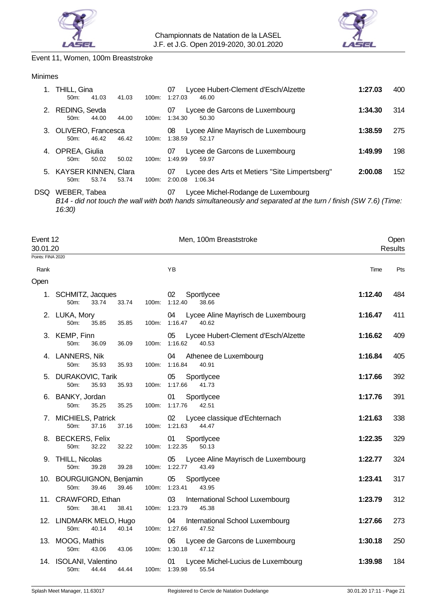



# Event 11, Women, 100m Breaststroke

### Minimes

|    | THILL, Gina<br>41.03<br>50m                 | 41.03<br>100m:    | Lycee Hubert-Clement d'Esch/Alzette<br>07<br>1:27.03<br>46.00             | 1:27.03 | 400 |
|----|---------------------------------------------|-------------------|---------------------------------------------------------------------------|---------|-----|
|    | 2. REDING, Sevda<br>44.00<br>50m            | 44.00<br>100m:    | Lycee de Garcons de Luxembourg<br>07<br>1:34.30<br>50.30                  | 1:34.30 | 314 |
|    | 3. OLIVERO, Francesca<br>46.42<br>$50m$ :   | 46.42<br>$100m$ : | Lycee Aline Mayrisch de Luxembourg<br>08<br>1:38.59<br>52.17              | 1:38.59 | 275 |
| 4. | OPREA, Giulia<br>50.02<br>50m               | 50.02<br>$100m$ : | Lycee de Garcons de Luxembourg<br>07<br>1:49.99<br>59.97                  | 1:49.99 | 198 |
|    | 5. KAYSER KINNEN, Clara<br>53.74<br>$50m$ : | 53.74<br>$100m$ : | Lycee des Arts et Metiers "Site Limpertsberg"<br>07<br>2:00.08<br>1:06.34 | 2:00.08 | 152 |
|    |                                             |                   |                                                                           |         |     |

DSQ WEBER, Tabea 07 Lycee Michel-Rodange de Luxembourg

*B14 - did not touch the wall with both hands simultaneously and separated at the turn / finish (SW 7.6) (Time: 16:30)*

| Event 12<br>30.01.20<br>Points: FINA 2020 |                                                               |       | Men, 100m Breaststroke                                             |         | Open<br><b>Results</b> |
|-------------------------------------------|---------------------------------------------------------------|-------|--------------------------------------------------------------------|---------|------------------------|
| Rank                                      |                                                               |       | YB                                                                 | Time    | Pts                    |
| Open                                      |                                                               |       |                                                                    |         |                        |
| 1.                                        | SCHMITZ, Jacques<br>33.74<br>50 <sub>m</sub> :<br>33.74       |       | 02<br>Sportlycee<br>100m: 1:12.40<br>38.66                         | 1:12.40 | 484                    |
|                                           | 2. LUKA, Mory<br>50m:<br>35.85<br>35.85                       |       | 04<br>Lycee Aline Mayrisch de Luxembourg<br>100m: 1:16.47<br>40.62 | 1:16.47 | 411                    |
|                                           | 3. KEMP, Finn<br>50m:<br>36.09<br>36.09                       | 100m: | 05<br>Lycee Hubert-Clement d'Esch/Alzette<br>1:16.62<br>40.53      | 1:16.62 | 409                    |
|                                           | 4. LANNERS, Nik<br>50m:<br>35.93<br>35.93                     | 100m: | 04<br>Athenee de Luxembourg<br>1:16.84<br>40.91                    | 1:16.84 | 405                    |
|                                           | <b>DURAKOVIC, Tarik</b><br>50m:<br>35.93<br>35.93             |       | Sportlycee<br>05<br>100m: 1:17.66<br>41.73                         | 1:17.66 | 392                    |
|                                           | 6. BANKY, Jordan<br>35.25<br>35.25<br>50m:                    |       | 01<br>Sportlycee<br>100m: 1:17.76<br>42.51                         | 1:17.76 | 391                    |
|                                           | 7. MICHIELS, Patrick<br>50 <sub>m</sub> :<br>37.16<br>37.16   | 100m: | 02<br>Lycee classique d'Echternach<br>1:21.63<br>44.47             | 1:21.63 | 338                    |
|                                           | 8. BECKERS, Felix<br>50m:<br>32.22<br>32.22                   |       | Sportlycee<br>01<br>100m: 1:22.35<br>50.13                         | 1:22.35 | 329                    |
|                                           | 9. THILL, Nicolas<br>50m:<br>39.28<br>39.28                   |       | 05<br>Lycee Aline Mayrisch de Luxembourg<br>100m: 1:22.77<br>43.49 | 1:22.77 | 324                    |
|                                           | 10. BOURGUIGNON, Benjamin<br>50m:<br>39.46<br>39.46           |       | 05<br>Sportlycee<br>100m: 1:23.41<br>43.95                         | 1:23.41 | 317                    |
|                                           | 11. CRAWFORD, Ethan<br>50m:<br>38.41<br>38.41                 | 100m: | 03<br>International School Luxembourg<br>1:23.79<br>45.38          | 1:23.79 | 312                    |
|                                           | 12. LINDMARK MELO, Hugo<br>50m:<br>40.14<br>40.14             |       | International School Luxembourg<br>04<br>100m: 1:27.66<br>47.52    | 1:27.66 | 273                    |
|                                           | 13. MOOG, Mathis<br>50 <sub>m</sub> :<br>43.06<br>43.06       | 100m: | 06<br>Lycee de Garcons de Luxembourg<br>1:30.18<br>47.12           | 1:30.18 | 250                    |
|                                           | 14. ISOLANI, Valentino<br>44.44<br>50 <sub>m</sub> :<br>44.44 |       | Lycee Michel-Lucius de Luxembourg<br>01<br>100m: 1:39.98<br>55.54  | 1:39.98 | 184                    |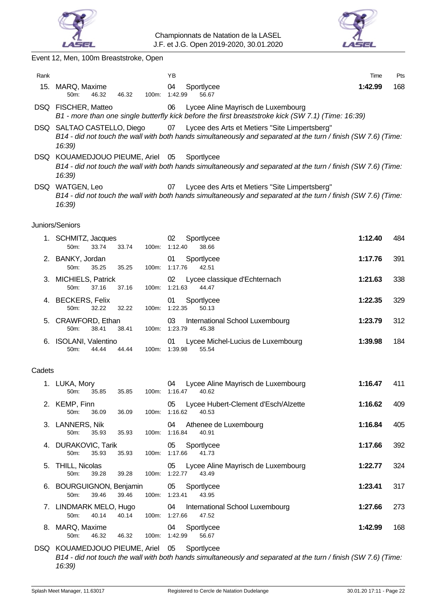

Rank Time Pts



Event 12, Men, 100m Breaststroke, Open

|        | 15. MARQ, Maxime<br>50m:<br>46.32<br>46.32         |       | Sportlycee<br>04<br>100m: 1:42.99<br>56.67                                                                                                                            | 1:42.99 | 168 |
|--------|----------------------------------------------------|-------|-----------------------------------------------------------------------------------------------------------------------------------------------------------------------|---------|-----|
|        | DSQ FISCHER, Matteo                                |       | Lycee Aline Mayrisch de Luxembourg<br>06<br>B1 - more than one single butterfly kick before the first breaststroke kick (SW 7.1) (Time: 16:39)                        |         |     |
|        | DSQ SALTAO CASTELLO, Diego<br>16:39)               |       | 07 Lycee des Arts et Metiers "Site Limpertsberg"<br>B14 - did not touch the wall with both hands simultaneously and separated at the turn / finish (SW 7.6) (Time:    |         |     |
|        | DSQ KOUAMEDJOUO PIEUME, Ariel 05<br>16:39)         |       | Sportlycee<br>B14 - did not touch the wall with both hands simultaneously and separated at the turn / finish (SW 7.6) (Time:                                          |         |     |
|        | DSQ WATGEN, Leo<br>16:39)                          |       | Lycee des Arts et Metiers "Site Limpertsberg"<br>07<br>B14 - did not touch the wall with both hands simultaneously and separated at the turn / finish (SW 7.6) (Time: |         |     |
|        | Juniors/Seniors                                    |       |                                                                                                                                                                       |         |     |
|        | 1. SCHMITZ, Jacques<br>50m:<br>33.74<br>33.74      |       | 02<br>Sportlycee<br>100m: 1:12.40<br>38.66                                                                                                                            | 1:12.40 | 484 |
|        | 2. BANKY, Jordan<br>50m:<br>35.25<br>35.25         |       | 01<br>Sportlycee<br>100m: 1:17.76<br>42.51                                                                                                                            | 1:17.76 | 391 |
|        | 3. MICHIELS, Patrick<br>50m:<br>37.16<br>37.16     | 100m: | Lycee classique d'Echternach<br>02<br>1:21.63<br>44.47                                                                                                                | 1:21.63 | 338 |
|        | 4. BECKERS, Felix<br>50m:<br>32.22<br>32.22        |       | 01<br>Sportlycee<br>100m: 1:22.35<br>50.13                                                                                                                            | 1:22.35 | 329 |
|        | 5. CRAWFORD, Ethan<br>50m:<br>38.41<br>38.41       | 100m: | 03<br>International School Luxembourg<br>1:23.79<br>45.38                                                                                                             | 1:23.79 | 312 |
|        | 6. ISOLANI, Valentino<br>50m:<br>44.44<br>44.44    |       | Lycee Michel-Lucius de Luxembourg<br>01<br>100m: 1:39.98<br>55.54                                                                                                     | 1:39.98 | 184 |
| Cadets |                                                    |       |                                                                                                                                                                       |         |     |
|        | 1. LUKA, Mory<br>50m:<br>35.85<br>35.85            | 100m: | Lycee Aline Mayrisch de Luxembourg<br>04<br>1:16.47<br>40.62                                                                                                          | 1:16.47 | 411 |
|        | 2. KEMP, Finn<br>36.09<br>36.09<br>50m:            | 100m: | Lycee Hubert-Clement d'Esch/Alzette<br>05<br>1:16.62<br>40.53                                                                                                         | 1:16.62 | 409 |
|        | 3. LANNERS, Nik<br>50m:<br>35.93<br>35.93          |       | 04<br>Athenee de Luxembourg<br>100m: 1:16.84<br>40.91                                                                                                                 | 1:16.84 | 405 |
| 4.     | <b>DURAKOVIC, Tarik</b><br>50m:<br>35.93<br>35.93  |       | Sportlycee<br>05<br>100m: 1:17.66<br>41.73                                                                                                                            | 1:17.66 | 392 |
| 5.     | <b>THILL, Nicolas</b><br>50m:<br>39.28<br>39.28    |       | 05<br>Lycee Aline Mayrisch de Luxembourg<br>100m: 1:22.77<br>43.49                                                                                                    | 1:22.77 | 324 |
|        | 6. BOURGUIGNON, Benjamin<br>50m:<br>39.46<br>39.46 | 100m: | 05<br>Sportlycee<br>1:23.41<br>43.95                                                                                                                                  | 1:23.41 | 317 |
|        | 7. LINDMARK MELO, Hugo<br>50m:<br>40.14<br>40.14   |       | 04<br>International School Luxembourg<br>100m: 1:27.66<br>47.52                                                                                                       | 1:27.66 | 273 |
|        | 8. MARQ, Maxime<br>46.32<br>46.32<br>50m:          | 100m: | 04<br>Sportlycee<br>1:42.99<br>56.67                                                                                                                                  | 1:42.99 | 168 |
|        | DSQ KOUAMEDJOUO PIEUME, Ariel 05                   |       | Sportlycee                                                                                                                                                            |         |     |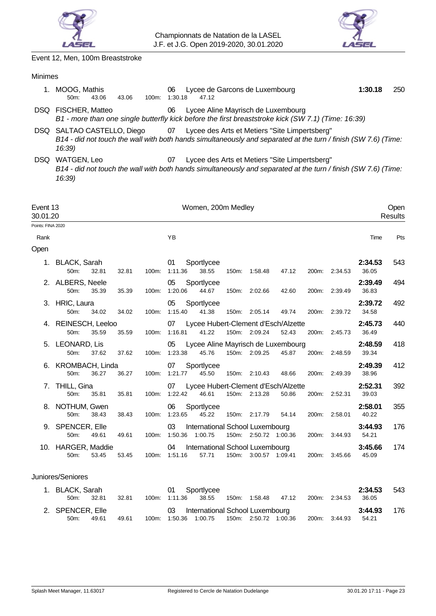



Event 12, Men, 100m Breaststroke

# Minimes

| MOOG, Mathis<br>43.06<br>43.06<br>100m:<br>50m | Lycee de Garcons de Luxembourg<br>06<br>1:30.18<br>47.12                                                                                                           | 1:30.18 | 250 |
|------------------------------------------------|--------------------------------------------------------------------------------------------------------------------------------------------------------------------|---------|-----|
| DSQ FISCHER, Matteo                            | Lycee Aline Mayrisch de Luxembourg<br>06<br>B1 - more than one single butterfly kick before the first breaststroke kick (SW 7.1) (Time: 16:39)                     |         |     |
| DSQ SALTAO CASTELLO, Diego<br>16:39)           | 07 Lycee des Arts et Metiers "Site Limpertsberg"<br>B14 - did not touch the wall with both hands simultaneously and separated at the turn / finish (SW 7.6) (Time: |         |     |

DSQ WATGEN, Leo 07 Lycee des Arts et Metiers "Site Limpertsberg" *B14 - did not touch the wall with both hands simultaneously and separated at the turn / finish (SW 7.6) (Time: 16:39)*

| Event 13<br>30.01.20 |                                     | Women, 200m Medley |               |               |  |                                            |       |                       |                                              | Open<br><b>Results</b> |               |                  |     |
|----------------------|-------------------------------------|--------------------|---------------|---------------|--|--------------------------------------------|-------|-----------------------|----------------------------------------------|------------------------|---------------|------------------|-----|
| Points: FINA 2020    |                                     |                    |               |               |  |                                            |       |                       |                                              |                        |               |                  |     |
| Rank                 |                                     |                    |               | YB            |  |                                            |       |                       |                                              |                        |               | Time             | Pts |
| Open                 |                                     |                    |               |               |  |                                            |       |                       |                                              |                        |               |                  |     |
|                      | 1. BLACK, Sarah<br>50m:<br>32.81    | 32.81              | 100m:         | 01<br>1:11.36 |  | Sportlycee<br>38.55                        | 150m: | 1.58.48               | 47.12                                        | 200m:                  | 2:34.53       | 2:34.53<br>36.05 | 543 |
|                      | 2. ALBERS, Neele<br>50m:            | 35.39<br>35.39     | 100m:         | 05<br>1:20.06 |  | Sportlycee<br>44.67                        | 150m: | 2:02.66               | 42.60                                        | 200m:                  | 2:39.49       | 2:39.49<br>36.83 | 494 |
|                      | 3. HRIC, Laura<br>50m:              | 34.02<br>34.02     | 100m:         | 05<br>1:15.40 |  | Sportlycee<br>41.38                        |       | 150m: 2:05.14         | 49.74                                        | 200 <sub>m</sub> :     | 2:39.72       | 2:39.72<br>34.58 | 492 |
|                      | 4. REINESCH, Leeloo<br>50m:         | 35.59<br>35.59     | 100m:         | 07<br>1:16.81 |  | 41.22                                      |       | 150m: 2:09.24         | Lycee Hubert-Clement d'Esch/Alzette<br>52.43 | 200m:                  | 2:45.73       | 2:45.73<br>36.49 | 440 |
|                      | 5. LEONARD, Lis<br>50m:             | 37.62<br>37.62     | 100m:         | 05<br>1:23.38 |  | 45.76                                      |       | 150m: 2:09.25         | Lycee Aline Mayrisch de Luxembourg<br>45.87  | 200m:                  | 2:48.59       | 2:48.59<br>39.34 | 418 |
|                      | 6. KROMBACH, Linda<br>50m:<br>36.27 | 36.27              | 100m:         | 07<br>1:21.77 |  | Sportlycee<br>45.50                        |       | 150m: 2:10.43         | 48.66                                        | 200m:                  | 2:49.39       | 2:49.39<br>38.96 | 412 |
|                      | 7. THILL, Gina<br>50m:<br>35.81     | 35.81              | 100m:         | 07<br>1:22.42 |  | 46.61                                      |       | 150m: 2:13.28         | Lycee Hubert-Clement d'Esch/Alzette<br>50.86 | 200m:                  | 2:52.31       | 2:52.31<br>39.03 | 392 |
|                      | 8. NOTHUM, Gwen<br>50m:             | 38.43<br>38.43     | 100m:         | 06<br>1:23.65 |  | Sportlycee<br>45.22                        |       | 150m: 2:17.79         | 54.14                                        | 200m:                  | 2:58.01       | 2:58.01<br>40.22 | 355 |
|                      | 9. SPENCER, Elle<br>50m:<br>49.61   | 49.61              | 100m:         | 03<br>1:50.36 |  | International School Luxembourg<br>1:00.75 |       | 150m: 2:50.72 1:00.36 |                                              |                        | 200m: 3:44.93 | 3:44.93<br>54.21 | 176 |
|                      | 10. HARGER, Maddie<br>50m:          | 53.45<br>53.45     | 100m: 1:51.16 | 04            |  | International School Luxembourg<br>57.71   |       | 150m: 3:00.57 1:09.41 |                                              | 200m:                  | 3:45.66       | 3:45.66<br>45.09 | 174 |
|                      | Juniores/Seniores                   |                    |               |               |  |                                            |       |                       |                                              |                        |               |                  |     |
|                      | 1. BLACK, Sarah<br>50m:<br>32.81    | 32.81              | $100m$ :      | 01<br>1:11.36 |  | Sportlycee<br>38.55                        |       | 150m: 1:58.48         | 47.12                                        | 200m:                  | 2:34.53       | 2:34.53<br>36.05 | 543 |
|                      | 2. SPENCER, Elle<br>49.61<br>50m:   | 49.61              | 100m: 1:50.36 | 03            |  | International School Luxembourg<br>1:00.75 |       | 150m: 2:50.72 1:00.36 |                                              | 200m:                  | 3:44.93       | 3:44.93<br>54.21 | 176 |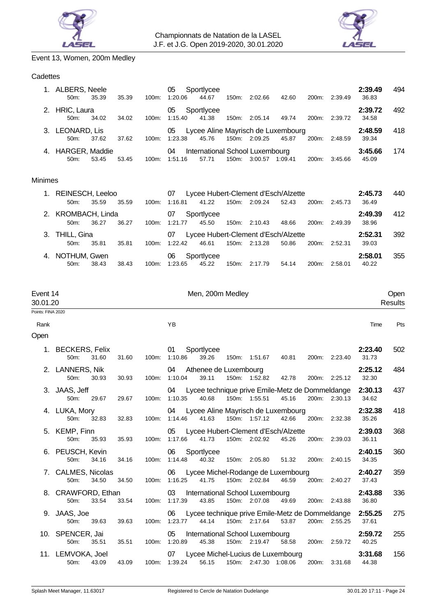



# Event 13, Women, 200m Medley

# **Cadettes**

|    | ALBERS, Neele<br>$50m$ :     | 35.39 | 35.39 | 100m:    | 05<br>1:20.06 | Sportlycee<br>44.67                      | 150m:    | 2:02.66 | 42.60                                       | 200 <sub>m</sub> : | 2:39.49 | 2:39.49<br>36.83 | 494 |
|----|------------------------------|-------|-------|----------|---------------|------------------------------------------|----------|---------|---------------------------------------------|--------------------|---------|------------------|-----|
| 2. | HRIC, Laura<br>$50m$ :       | 34.02 | 34.02 | 100m:    | 05<br>1:15.40 | Sportlycee<br>41.38                      | 150m:    | 2:05.14 | 49.74                                       | 200 <sub>m</sub> : | 2:39.72 | 2:39.72<br>34.58 | 492 |
| 3. | LEONARD, Lis<br>$50m$ :      | 37.62 | 37.62 | $100m$ : | 05<br>1:23.38 | 45.76                                    | 150m:    | 2:09.25 | Lycee Aline Mayrisch de Luxembourg<br>45.87 | 200m:              | 2:48.59 | 2:48.59<br>39.34 | 418 |
|    | 4. HARGER, Maddie<br>$50m$ : | 53.45 | 53.45 | 100m     | 04<br>1:51.16 | International School Luxembourg<br>57.71 | $150m$ : | 3:00.57 | 1:09.41                                     | $200m$ :           | 3:45.66 | 3:45.66<br>45.09 | 174 |

# Minimes

| 1. REINESCH, Leeloo |       |       |          | 07      | Lycee Hubert-Clement d'Esch/Alzette |       |               |       |                    |         |       |  |  |
|---------------------|-------|-------|----------|---------|-------------------------------------|-------|---------------|-------|--------------------|---------|-------|--|--|
| 50m                 | 35.59 | 35.59 | $100m$ : | 1:16.81 | 41.22                               | 150m: | 2:09.24       | 52.43 | 200m:              | 2:45.73 | 36.49 |  |  |
| 2. KROMBACH, Linda  |       |       |          | 07      | Sportlycee                          |       |               |       |                    |         |       |  |  |
| 50m                 | 36.27 | 36.27 | $100m$ : | 1:21.77 | 45.50                               | 150m: | 2:10.43       | 48.66 | 200 <sub>m</sub>   | 2:49.39 | 38.96 |  |  |
| 3. THILL, Gina      |       |       |          | 07      | Lycee Hubert-Clement d'Esch/Alzette |       |               |       |                    |         |       |  |  |
| 50m:                | 35.81 | 35.81 | $100m$ : | 1:22.42 | 46.61                               |       | 150m: 2:13.28 | 50.86 | 200m:              | 2:52.31 | 39.03 |  |  |
| 4. NOTHUM, Gwen     |       |       |          | 06      | Sportlycee                          |       |               |       |                    |         |       |  |  |
| $50m$ :             | 38.43 | 38.43 | $100m$ : | 1:23.65 | 45.22                               | 150m: | 2:17.79       | 54.14 | 200 <sub>m</sub> : | 2:58.01 | 40.22 |  |  |

| Event 14<br>30.01.20 |                                           |       |       | Men, 200m Medley                                                                                                             | Open<br><b>Results</b> |     |  |
|----------------------|-------------------------------------------|-------|-------|------------------------------------------------------------------------------------------------------------------------------|------------------------|-----|--|
| Points: FINA 2020    |                                           |       |       |                                                                                                                              |                        |     |  |
| Rank                 |                                           |       |       | <b>YB</b>                                                                                                                    | Time                   | Pts |  |
| Open                 |                                           |       |       |                                                                                                                              |                        |     |  |
| 1.                   | <b>BECKERS, Felix</b><br>$50m$ :<br>31.60 | 31.60 | 100m: | 01<br>Sportlycee<br>1:10.86<br>39.26<br>200m: 2:23.40<br>150m: 1:51.67<br>40.81                                              | 2:23.40<br>31.73       | 502 |  |
|                      | 2. LANNERS, Nik<br>50m:<br>30.93          | 30.93 |       | Athenee de Luxembourg<br>04<br>100m: 1:10.04<br>150m: 1:52.82<br>39.11<br>42.78<br>200m: 2:25.12                             | 2:25.12<br>32.30       | 484 |  |
|                      | 3. JAAS, Jeff<br>50m:<br>29.67            | 29.67 | 100m: | Lycee technique prive Emile-Metz de Dommeldange 2:30.13<br>04<br>1:10.35<br>40.68<br>150m: 1:55.51<br>45.16<br>200m: 2:30.13 | 34.62                  | 437 |  |
|                      | 4. LUKA, Mory<br>32.83<br>50m:            | 32.83 | 100m: | 04 Lycee Aline Mayrisch de Luxembourg<br>150m: 1:57.12<br>1:14.46<br>41.63<br>42.66<br>200m: 2:32.38                         | 2:32.38<br>35.26       | 418 |  |
|                      | 5. KEMP, Finn<br>50m:<br>35.93            | 35.93 | 100m: | Lycee Hubert-Clement d'Esch/Alzette<br>05<br>1:17.66<br>150m: 2:02.92<br>200m:<br>41.73<br>45.26<br>2:39.03                  | 2:39.03<br>36.11       | 368 |  |
|                      | 6. PEUSCH, Kevin<br>50m:<br>34.16         | 34.16 |       | 06<br>Sportlycee<br>100m: 1:14.48<br>40.32<br>150m: 2:05.80<br>51.32<br>200m: 2:40.15                                        | 2:40.15<br>34.35       | 360 |  |
|                      | 7. CALMES, Nicolas<br>50m:<br>34.50       | 34.50 | 100m: | Lycee Michel-Rodange de Luxembourg<br>06<br>1:16.25<br>41.75<br>150m: 2:02.84<br>46.59<br>200m: 2:40.27                      | 2:40.27<br>37.43       | 359 |  |
|                      | 8. CRAWFORD, Ethan<br>33.54<br>50m:       | 33.54 | 100m: | 03<br>International School Luxembourg<br>1:17.39<br>43.85<br>150m: 2:07.08<br>49.69<br>200m: 2:43.88                         | 2:43.88<br>36.80       | 336 |  |
|                      | 9. JAAS, Joe<br>50m:<br>39.63             | 39.63 | 100m: | Lycee technique prive Emile-Metz de Dommeldange<br>06<br>1:23.77<br>44.14<br>150m: 2:17.64<br>200m: 2:55.25<br>53.87         | 2:55.25<br>37.61       | 275 |  |
|                      | 10. SPENCER, Jai<br>50m:<br>35.51         | 35.51 | 100m: | 05<br>International School Luxembourg<br>1:20.89<br>45.38<br>150m: 2:19.47<br>58.58<br>200m: 2:59.72                         | 2:59.72<br>40.25       | 255 |  |
|                      | 11. LEMVOKA, Joel<br>50m:<br>43.09        | 43.09 |       | Lycee Michel-Lucius de Luxembourg<br>07<br>150m: 2:47.30 1:08.06<br>100m: 1:39.24<br>56.15<br>200m: 3:31.68                  | 3:31.68<br>44.38       | 156 |  |